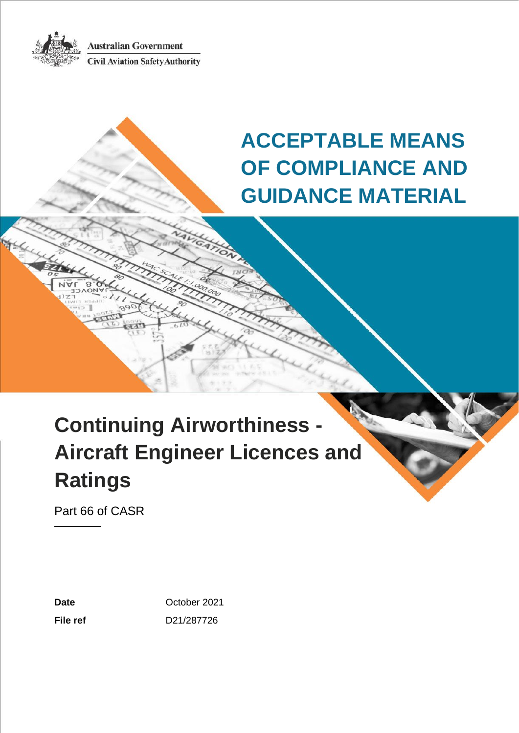**Australian Government Civil Aviation Safety Authority** 



**ACCEPTABLE MEANS OF COMPLIANCE AND GUIDANCE MATERIAL**

# **Continuing Airworthiness - Aircraft Engineer Licences and Ratings**

Part 66 of CASR

Date **Date October 2021 File ref** D21/287726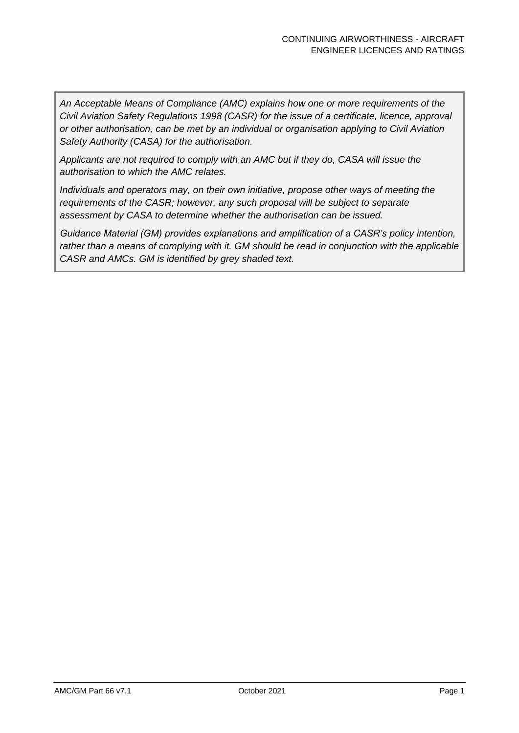*An Acceptable Means of Compliance (AMC) explains how one or more requirements of the Civil Aviation Safety Regulations 1998 (CASR) for the issue of a certificate, licence, approval or other authorisation, can be met by an individual or organisation applying to Civil Aviation Safety Authority (CASA) for the authorisation.*

*Applicants are not required to comply with an AMC but if they do, CASA will issue the authorisation to which the AMC relates.*

*Individuals and operators may, on their own initiative, propose other ways of meeting the requirements of the CASR; however, any such proposal will be subject to separate assessment by CASA to determine whether the authorisation can be issued.*

*Guidance Material (GM) provides explanations and amplification of a CASR's policy intention, rather than a means of complying with it. GM should be read in conjunction with the applicable CASR and AMCs. GM is identified by grey shaded text.*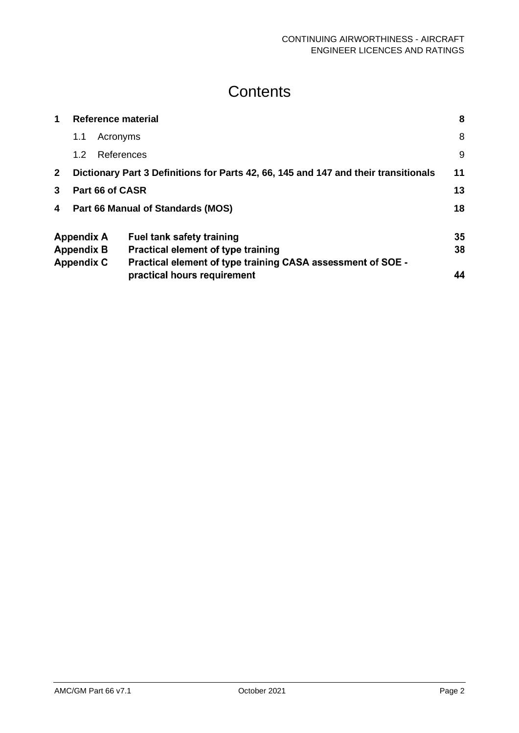# **Contents**

| 1            | Reference material |            | 8                                                                                   |    |
|--------------|--------------------|------------|-------------------------------------------------------------------------------------|----|
|              | 1.1                | Acronyms   |                                                                                     | 8  |
|              | 1.2                | References |                                                                                     | 9  |
| $\mathbf{2}$ |                    |            | Dictionary Part 3 Definitions for Parts 42, 66, 145 and 147 and their transitionals | 11 |
| 3            | Part 66 of CASR    |            |                                                                                     | 13 |
| 4            |                    |            | Part 66 Manual of Standards (MOS)                                                   | 18 |
|              | <b>Appendix A</b>  |            | <b>Fuel tank safety training</b>                                                    | 35 |
|              | <b>Appendix B</b>  |            | <b>Practical element of type training</b>                                           | 38 |
|              | <b>Appendix C</b>  |            | Practical element of type training CASA assessment of SOE -                         |    |
|              |                    |            | practical hours requirement                                                         | 44 |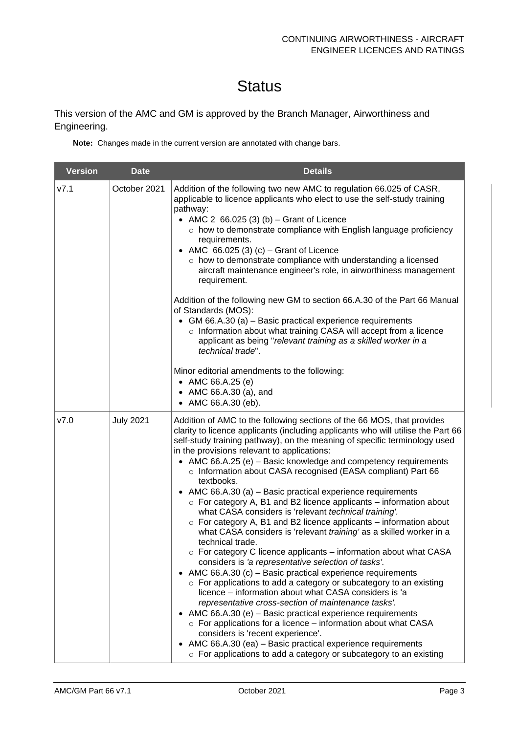# **Status**

This version of the AMC and GM is approved by the Branch Manager, Airworthiness and Engineering.

**Note:** Changes made in the current version are annotated with change bars.

| <b>Version</b> | <b>Date</b>      | <b>Details</b>                                                                                                                                                                                                                                                                                                                                                                                                                                                                                                                                                                                                                                                                                                                                                                                                                                                                                                                                                                                                                                                                                                                                                                                                                                                                                                                                                                                                                                                                                                                      |
|----------------|------------------|-------------------------------------------------------------------------------------------------------------------------------------------------------------------------------------------------------------------------------------------------------------------------------------------------------------------------------------------------------------------------------------------------------------------------------------------------------------------------------------------------------------------------------------------------------------------------------------------------------------------------------------------------------------------------------------------------------------------------------------------------------------------------------------------------------------------------------------------------------------------------------------------------------------------------------------------------------------------------------------------------------------------------------------------------------------------------------------------------------------------------------------------------------------------------------------------------------------------------------------------------------------------------------------------------------------------------------------------------------------------------------------------------------------------------------------------------------------------------------------------------------------------------------------|
| V7.1           | October 2021     | Addition of the following two new AMC to regulation 66.025 of CASR,<br>applicable to licence applicants who elect to use the self-study training<br>pathway:<br>• AMC 2 $66.025$ (3) (b) - Grant of Licence<br>o how to demonstrate compliance with English language proficiency<br>requirements.<br>• AMC $66.025(3)(c)$ – Grant of Licence<br>o how to demonstrate compliance with understanding a licensed<br>aircraft maintenance engineer's role, in airworthiness management<br>requirement.<br>Addition of the following new GM to section 66.A.30 of the Part 66 Manual<br>of Standards (MOS):<br>• GM 66.A.30 (a) - Basic practical experience requirements<br>o Information about what training CASA will accept from a licence<br>applicant as being "relevant training as a skilled worker in a<br>technical trade".<br>Minor editorial amendments to the following:<br>• AMC $66.A.25(e)$<br>• AMC 66.A.30 (a), and<br>• AMC 66.A.30 (eb).                                                                                                                                                                                                                                                                                                                                                                                                                                                                                                                                                                             |
| V7.0           | <b>July 2021</b> | Addition of AMC to the following sections of the 66 MOS, that provides<br>clarity to licence applicants (including applicants who will utilise the Part 66<br>self-study training pathway), on the meaning of specific terminology used<br>in the provisions relevant to applications:<br>• AMC 66.A.25 (e) - Basic knowledge and competency requirements<br>o Information about CASA recognised (EASA compliant) Part 66<br>textbooks.<br>• AMC 66.A.30 (a) – Basic practical experience requirements<br>$\circ$ For category A, B1 and B2 licence applicants – information about<br>what CASA considers is 'relevant technical training'.<br>$\circ$ For category A, B1 and B2 licence applicants – information about<br>what CASA considers is 'relevant training' as a skilled worker in a<br>technical trade.<br>o For category C licence applicants - information about what CASA<br>considers is 'a representative selection of tasks'.<br>• AMC 66.A.30 (c) – Basic practical experience requirements<br>$\circ$ For applications to add a category or subcategory to an existing<br>licence - information about what CASA considers is 'a<br>representative cross-section of maintenance tasks'.<br>• AMC 66.A.30 (e) $-$ Basic practical experience requirements<br>$\circ$ For applications for a licence – information about what CASA<br>considers is 'recent experience'.<br>• AMC 66.A.30 (ea) - Basic practical experience requirements<br>$\circ$ For applications to add a category or subcategory to an existing |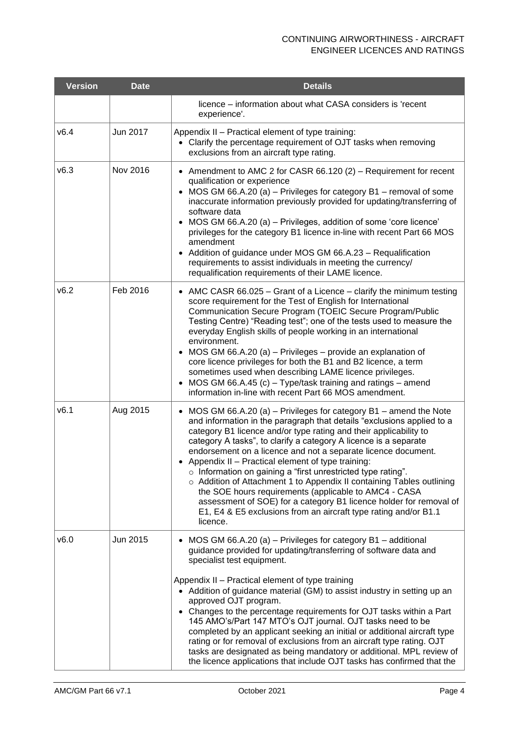| <b>Version</b> | <b>Date</b> | <b>Details</b>                                                                                                                                                                                                                                                                                                                                                                                                                                                                                                                                                                                                                                                                                                                                                         |
|----------------|-------------|------------------------------------------------------------------------------------------------------------------------------------------------------------------------------------------------------------------------------------------------------------------------------------------------------------------------------------------------------------------------------------------------------------------------------------------------------------------------------------------------------------------------------------------------------------------------------------------------------------------------------------------------------------------------------------------------------------------------------------------------------------------------|
|                |             | licence - information about what CASA considers is 'recent<br>experience'.                                                                                                                                                                                                                                                                                                                                                                                                                                                                                                                                                                                                                                                                                             |
| v6.4           | Jun 2017    | Appendix II - Practical element of type training:<br>• Clarify the percentage requirement of OJT tasks when removing<br>exclusions from an aircraft type rating.                                                                                                                                                                                                                                                                                                                                                                                                                                                                                                                                                                                                       |
| v6.3           | Nov 2016    | • Amendment to AMC 2 for CASR 66.120 (2) – Requirement for recent<br>qualification or experience<br>• MOS GM 66.A.20 (a) – Privileges for category B1 – removal of some<br>inaccurate information previously provided for updating/transferring of<br>software data<br>• MOS GM 66.A.20 (a) - Privileges, addition of some 'core licence'<br>privileges for the category B1 licence in-line with recent Part 66 MOS<br>amendment<br>Addition of guidance under MOS GM 66.A.23 - Requalification<br>requirements to assist individuals in meeting the currency/<br>requalification requirements of their LAME licence.                                                                                                                                                  |
| v6.2           | Feb 2016    | • AMC CASR 66.025 – Grant of a Licence – clarify the minimum testing<br>score requirement for the Test of English for International<br>Communication Secure Program (TOEIC Secure Program/Public<br>Testing Centre) "Reading test"; one of the tests used to measure the<br>everyday English skills of people working in an international<br>environment.<br>• MOS GM 66.A.20 (a) – Privileges – provide an explanation of<br>core licence privileges for both the B1 and B2 licence, a term<br>sometimes used when describing LAME licence privileges.<br>• MOS GM 66.A.45 (c) - Type/task training and ratings - amend<br>information in-line with recent Part 66 MOS amendment.                                                                                     |
| v6.1           | Aug 2015    | • MOS GM 66.A.20 (a) – Privileges for category $B1$ – amend the Note<br>and information in the paragraph that details "exclusions applied to a<br>category B1 licence and/or type rating and their applicability to<br>category A tasks", to clarify a category A licence is a separate<br>endorsement on a licence and not a separate licence document.<br>• Appendix II - Practical element of type training:<br>o Information on gaining a "first unrestricted type rating".<br>o Addition of Attachment 1 to Appendix II containing Tables outlining<br>the SOE hours requirements (applicable to AMC4 - CASA<br>assessment of SOE) for a category B1 licence holder for removal of<br>E1, E4 & E5 exclusions from an aircraft type rating and/or B1.1<br>licence. |
| v6.0           | Jun 2015    | MOS GM 66.A.20 (a) - Privileges for category B1 - additional<br>guidance provided for updating/transferring of software data and<br>specialist test equipment.<br>Appendix II - Practical element of type training<br>• Addition of guidance material (GM) to assist industry in setting up an<br>approved OJT program.<br>• Changes to the percentage requirements for OJT tasks within a Part<br>145 AMO's/Part 147 MTO's OJT journal. OJT tasks need to be<br>completed by an applicant seeking an initial or additional aircraft type<br>rating or for removal of exclusions from an aircraft type rating. OJT<br>tasks are designated as being mandatory or additional. MPL review of<br>the licence applications that include OJT tasks has confirmed that the   |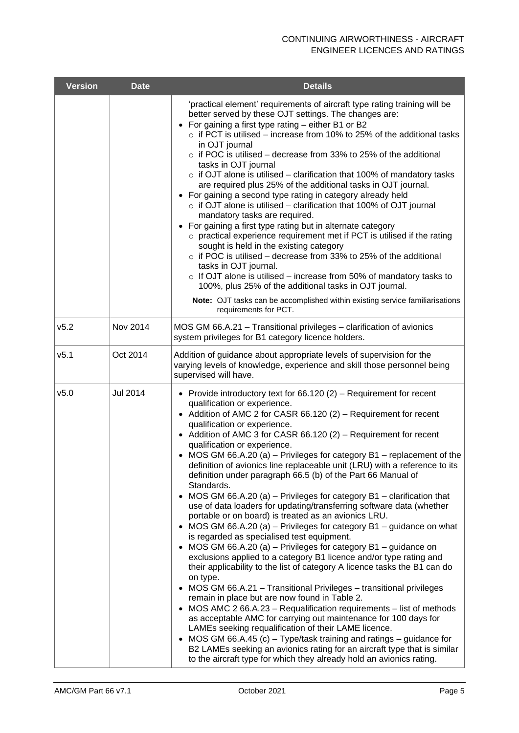| <b>Version</b>   | <b>Date</b> | <b>Details</b>                                                                                                                                                                                                                                                                                                                                                                                                                                                                                                                                                                                                                                                                                                                                                                                                                                                                                                                                                                                                                                                                                                                                                                                                                                                                                                                                                                                                                                                                                                                                                                                                                                                                 |
|------------------|-------------|--------------------------------------------------------------------------------------------------------------------------------------------------------------------------------------------------------------------------------------------------------------------------------------------------------------------------------------------------------------------------------------------------------------------------------------------------------------------------------------------------------------------------------------------------------------------------------------------------------------------------------------------------------------------------------------------------------------------------------------------------------------------------------------------------------------------------------------------------------------------------------------------------------------------------------------------------------------------------------------------------------------------------------------------------------------------------------------------------------------------------------------------------------------------------------------------------------------------------------------------------------------------------------------------------------------------------------------------------------------------------------------------------------------------------------------------------------------------------------------------------------------------------------------------------------------------------------------------------------------------------------------------------------------------------------|
|                  |             | 'practical element' requirements of aircraft type rating training will be<br>better served by these OJT settings. The changes are:<br>For gaining a first type rating - either B1 or B2<br>$\circ$ if PCT is utilised – increase from 10% to 25% of the additional tasks<br>in OJT journal<br>o if POC is utilised - decrease from 33% to 25% of the additional<br>tasks in OJT journal<br>$\circ$ if OJT alone is utilised – clarification that 100% of mandatory tasks<br>are required plus 25% of the additional tasks in OJT journal.<br>• For gaining a second type rating in category already held<br>$\circ$ if OJT alone is utilised – clarification that 100% of OJT journal<br>mandatory tasks are required.<br>• For gaining a first type rating but in alternate category<br>$\circ$ practical experience requirement met if PCT is utilised if the rating<br>sought is held in the existing category<br>$\circ$ if POC is utilised – decrease from 33% to 25% of the additional<br>tasks in OJT journal.<br>$\circ$ If OJT alone is utilised – increase from 50% of mandatory tasks to<br>100%, plus 25% of the additional tasks in OJT journal.<br>Note: OJT tasks can be accomplished within existing service familiarisations<br>requirements for PCT.                                                                                                                                                                                                                                                                                                                                                                                                         |
| v5.2             | Nov 2014    | MOS GM 66.A.21 - Transitional privileges - clarification of avionics<br>system privileges for B1 category licence holders.                                                                                                                                                                                                                                                                                                                                                                                                                                                                                                                                                                                                                                                                                                                                                                                                                                                                                                                                                                                                                                                                                                                                                                                                                                                                                                                                                                                                                                                                                                                                                     |
| v5.1             | Oct 2014    | Addition of guidance about appropriate levels of supervision for the<br>varying levels of knowledge, experience and skill those personnel being<br>supervised will have.                                                                                                                                                                                                                                                                                                                                                                                                                                                                                                                                                                                                                                                                                                                                                                                                                                                                                                                                                                                                                                                                                                                                                                                                                                                                                                                                                                                                                                                                                                       |
| V <sub>5.0</sub> | Jul 2014    | • Provide introductory text for $66.120(2)$ – Requirement for recent<br>qualification or experience.<br>• Addition of AMC 2 for CASR 66.120 (2) - Requirement for recent<br>qualification or experience.<br>• Addition of AMC 3 for CASR 66.120 (2) - Requirement for recent<br>qualification or experience.<br>MOS GM 66.A.20 (a) $-$ Privileges for category B1 $-$ replacement of the<br>definition of avionics line replaceable unit (LRU) with a reference to its<br>definition under paragraph 66.5 (b) of the Part 66 Manual of<br>Standards.<br>MOS GM 66.A.20 (a) - Privileges for category B1 - clarification that<br>use of data loaders for updating/transferring software data (whether<br>portable or on board) is treated as an avionics LRU.<br>• MOS GM 66.A.20 (a) – Privileges for category $B1$ – guidance on what<br>is regarded as specialised test equipment.<br>• MOS GM 66.A.20 (a) – Privileges for category $B1$ – guidance on<br>exclusions applied to a category B1 licence and/or type rating and<br>their applicability to the list of category A licence tasks the B1 can do<br>on type.<br>• MOS GM 66.A.21 - Transitional Privileges - transitional privileges<br>remain in place but are now found in Table 2.<br>MOS AMC 2 66.A.23 - Requalification requirements - list of methods<br>as acceptable AMC for carrying out maintenance for 100 days for<br>LAMEs seeking requalification of their LAME licence.<br>• MOS GM 66.A.45 (c) – Type/task training and ratings – guidance for<br>B2 LAMEs seeking an avionics rating for an aircraft type that is similar<br>to the aircraft type for which they already hold an avionics rating. |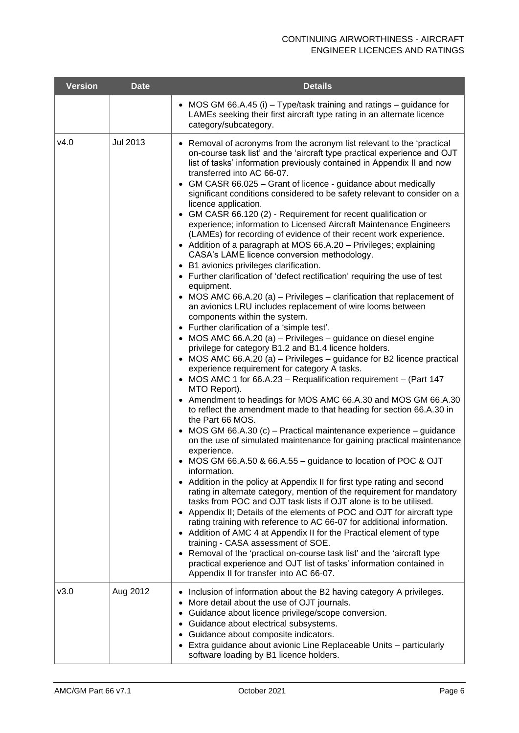| <b>Version</b> | <b>Date</b>     | <b>Details</b>                                                                                                                                                                                                                                                                                                                                                                                                                                                                                                                                                                                                                                                                                                                                                                                                                                                                                                                                                                                                                                                                                                                                                                                                                                                                                                                                                                                                                                                                                                                                                                                                                                                                                                                                                                                                                                                                                                                                                                                                                                                                                                                                                                                                                                                                                                                                                                                                                                                                                                                                                                         |
|----------------|-----------------|----------------------------------------------------------------------------------------------------------------------------------------------------------------------------------------------------------------------------------------------------------------------------------------------------------------------------------------------------------------------------------------------------------------------------------------------------------------------------------------------------------------------------------------------------------------------------------------------------------------------------------------------------------------------------------------------------------------------------------------------------------------------------------------------------------------------------------------------------------------------------------------------------------------------------------------------------------------------------------------------------------------------------------------------------------------------------------------------------------------------------------------------------------------------------------------------------------------------------------------------------------------------------------------------------------------------------------------------------------------------------------------------------------------------------------------------------------------------------------------------------------------------------------------------------------------------------------------------------------------------------------------------------------------------------------------------------------------------------------------------------------------------------------------------------------------------------------------------------------------------------------------------------------------------------------------------------------------------------------------------------------------------------------------------------------------------------------------------------------------------------------------------------------------------------------------------------------------------------------------------------------------------------------------------------------------------------------------------------------------------------------------------------------------------------------------------------------------------------------------------------------------------------------------------------------------------------------------|
|                |                 | • MOS GM 66.A.45 (i) – Type/task training and ratings – guidance for<br>LAMEs seeking their first aircraft type rating in an alternate licence<br>category/subcategory.                                                                                                                                                                                                                                                                                                                                                                                                                                                                                                                                                                                                                                                                                                                                                                                                                                                                                                                                                                                                                                                                                                                                                                                                                                                                                                                                                                                                                                                                                                                                                                                                                                                                                                                                                                                                                                                                                                                                                                                                                                                                                                                                                                                                                                                                                                                                                                                                                |
| v4.0           | <b>Jul 2013</b> | • Removal of acronyms from the acronym list relevant to the 'practical<br>on-course task list' and the 'aircraft type practical experience and OJT<br>list of tasks' information previously contained in Appendix II and now<br>transferred into AC 66-07.<br>• GM CASR 66.025 - Grant of licence - guidance about medically<br>significant conditions considered to be safety relevant to consider on a<br>licence application.<br>• GM CASR 66.120 (2) - Requirement for recent qualification or<br>experience; information to Licensed Aircraft Maintenance Engineers<br>(LAMEs) for recording of evidence of their recent work experience.<br>• Addition of a paragraph at MOS 66.A.20 - Privileges; explaining<br>CASA's LAME licence conversion methodology.<br>• B1 avionics privileges clarification.<br>• Further clarification of 'defect rectification' requiring the use of test<br>equipment.<br>• MOS AMC 66.A.20 (a) – Privileges – clarification that replacement of<br>an avionics LRU includes replacement of wire looms between<br>components within the system.<br>• Further clarification of a 'simple test'.<br>• MOS AMC 66.A.20 (a) - Privileges - guidance on diesel engine<br>privilege for category B1.2 and B1.4 licence holders.<br>• MOS AMC 66.A.20 (a) - Privileges - guidance for B2 licence practical<br>experience requirement for category A tasks.<br>• MOS AMC 1 for 66.A.23 - Requalification requirement - (Part 147<br>MTO Report).<br>• Amendment to headings for MOS AMC 66.A.30 and MOS GM 66.A.30<br>to reflect the amendment made to that heading for section 66.A.30 in<br>the Part 66 MOS.<br>• MOS GM 66.A.30 (c) - Practical maintenance experience - guidance<br>on the use of simulated maintenance for gaining practical maintenance<br>experience.<br>• MOS GM 66.A.50 & 66.A.55 - guidance to location of POC & OJT<br>information.<br>• Addition in the policy at Appendix II for first type rating and second<br>rating in alternate category, mention of the requirement for mandatory<br>tasks from POC and OJT task lists if OJT alone is to be utilised.<br>• Appendix II; Details of the elements of POC and OJT for aircraft type<br>rating training with reference to AC 66-07 for additional information.<br>• Addition of AMC 4 at Appendix II for the Practical element of type<br>training - CASA assessment of SOE.<br>• Removal of the 'practical on-course task list' and the 'aircraft type<br>practical experience and OJT list of tasks' information contained in<br>Appendix II for transfer into AC 66-07. |
| V3.0           | Aug 2012        | • Inclusion of information about the B2 having category A privileges.<br>• More detail about the use of OJT journals.<br>• Guidance about licence privilege/scope conversion.<br>• Guidance about electrical subsystems.<br>• Guidance about composite indicators.<br>• Extra guidance about avionic Line Replaceable Units - particularly<br>software loading by B1 licence holders.                                                                                                                                                                                                                                                                                                                                                                                                                                                                                                                                                                                                                                                                                                                                                                                                                                                                                                                                                                                                                                                                                                                                                                                                                                                                                                                                                                                                                                                                                                                                                                                                                                                                                                                                                                                                                                                                                                                                                                                                                                                                                                                                                                                                  |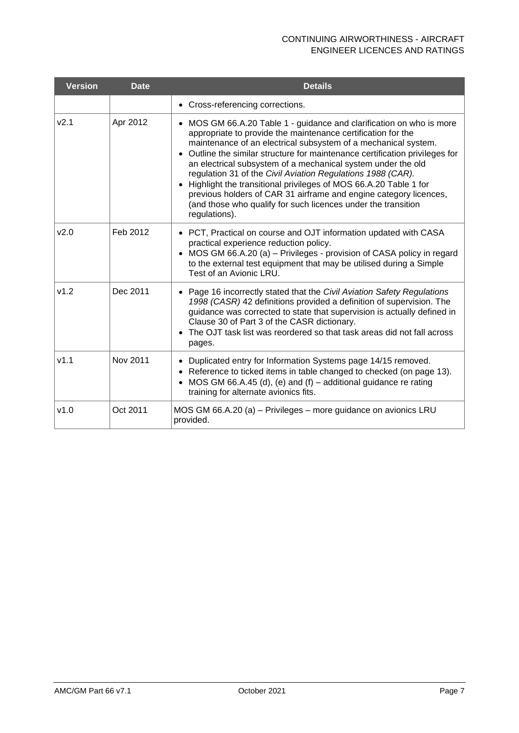| <b>Version</b>   | <b>Date</b> | <b>Details</b>                                                                                                                                                                                                                                                                                                                                                                                                                                                                                                                                                                                                                                     |
|------------------|-------------|----------------------------------------------------------------------------------------------------------------------------------------------------------------------------------------------------------------------------------------------------------------------------------------------------------------------------------------------------------------------------------------------------------------------------------------------------------------------------------------------------------------------------------------------------------------------------------------------------------------------------------------------------|
|                  |             | • Cross-referencing corrections.                                                                                                                                                                                                                                                                                                                                                                                                                                                                                                                                                                                                                   |
| V <sub>2.1</sub> | Apr 2012    | • MOS GM 66.A.20 Table 1 - guidance and clarification on who is more<br>appropriate to provide the maintenance certification for the<br>maintenance of an electrical subsystem of a mechanical system.<br>• Outline the similar structure for maintenance certification privileges for<br>an electrical subsystem of a mechanical system under the old<br>regulation 31 of the Civil Aviation Regulations 1988 (CAR).<br>• Highlight the transitional privileges of MOS 66.A.20 Table 1 for<br>previous holders of CAR 31 airframe and engine category licences,<br>(and those who qualify for such licences under the transition<br>regulations). |
| v2.0             | Feb 2012    | • PCT, Practical on course and OJT information updated with CASA<br>practical experience reduction policy.<br>• MOS GM 66.A.20 (a) – Privileges - provision of CASA policy in regard<br>to the external test equipment that may be utilised during a Simple<br>Test of an Avionic LRU.                                                                                                                                                                                                                                                                                                                                                             |
| v1.2             | Dec 2011    | • Page 16 incorrectly stated that the Civil Aviation Safety Regulations<br>1998 (CASR) 42 definitions provided a definition of supervision. The<br>guidance was corrected to state that supervision is actually defined in<br>Clause 30 of Part 3 of the CASR dictionary.<br>• The OJT task list was reordered so that task areas did not fall across<br>pages.                                                                                                                                                                                                                                                                                    |
| v1.1             | Nov 2011    | • Duplicated entry for Information Systems page 14/15 removed.<br>• Reference to ticked items in table changed to checked (on page 13).<br>• MOS GM 66.A.45 (d), (e) and (f) – additional guidance re rating<br>training for alternate avionics fits.                                                                                                                                                                                                                                                                                                                                                                                              |
| v1.0             | Oct 2011    | MOS GM 66.A.20 (a) - Privileges - more guidance on avionics LRU<br>provided.                                                                                                                                                                                                                                                                                                                                                                                                                                                                                                                                                                       |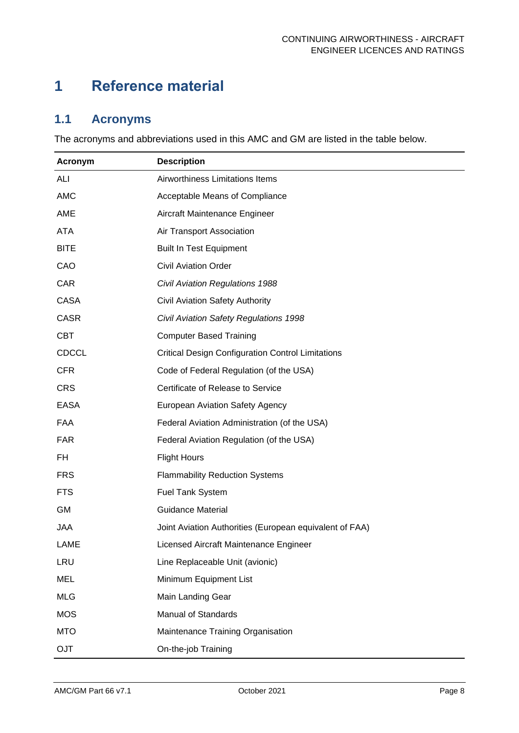# <span id="page-8-0"></span>**1 Reference material**

## <span id="page-8-1"></span>**1.1 Acronyms**

The acronyms and abbreviations used in this AMC and GM are listed in the table below.

| Acronym      | <b>Description</b>                                       |
|--------------|----------------------------------------------------------|
| ALI          | Airworthiness Limitations Items                          |
| <b>AMC</b>   | Acceptable Means of Compliance                           |
| AME          | Aircraft Maintenance Engineer                            |
| <b>ATA</b>   | Air Transport Association                                |
| <b>BITE</b>  | <b>Built In Test Equipment</b>                           |
| CAO          | <b>Civil Aviation Order</b>                              |
| CAR          | <b>Civil Aviation Regulations 1988</b>                   |
| <b>CASA</b>  | Civil Aviation Safety Authority                          |
| <b>CASR</b>  | Civil Aviation Safety Regulations 1998                   |
| <b>CBT</b>   | <b>Computer Based Training</b>                           |
| <b>CDCCL</b> | <b>Critical Design Configuration Control Limitations</b> |
| <b>CFR</b>   | Code of Federal Regulation (of the USA)                  |
| <b>CRS</b>   | Certificate of Release to Service                        |
| <b>EASA</b>  | European Aviation Safety Agency                          |
| <b>FAA</b>   | Federal Aviation Administration (of the USA)             |
| <b>FAR</b>   | Federal Aviation Regulation (of the USA)                 |
| FH           | <b>Flight Hours</b>                                      |
| <b>FRS</b>   | <b>Flammability Reduction Systems</b>                    |
| <b>FTS</b>   | <b>Fuel Tank System</b>                                  |
| <b>GM</b>    | <b>Guidance Material</b>                                 |
| <b>JAA</b>   | Joint Aviation Authorities (European equivalent of FAA)  |
| <b>LAME</b>  | Licensed Aircraft Maintenance Engineer                   |
| LRU          | Line Replaceable Unit (avionic)                          |
| <b>MEL</b>   | Minimum Equipment List                                   |
| <b>MLG</b>   | Main Landing Gear                                        |
| <b>MOS</b>   | <b>Manual of Standards</b>                               |
| <b>MTO</b>   | Maintenance Training Organisation                        |
| <b>OJT</b>   | On-the-job Training                                      |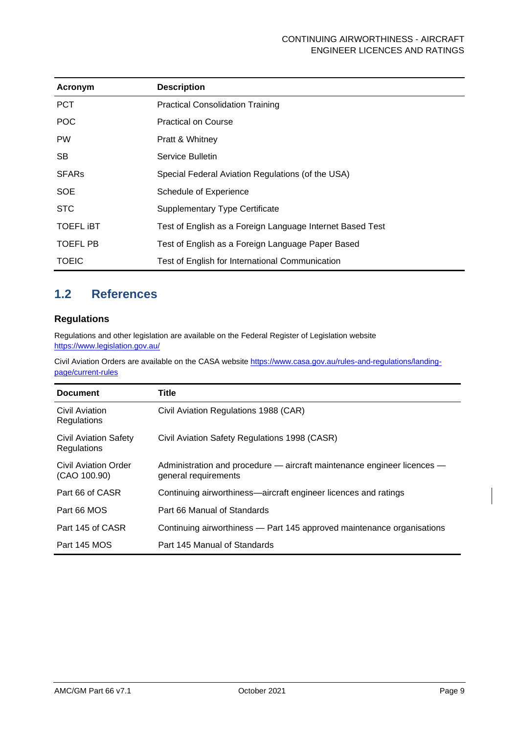| Acronym          | <b>Description</b>                                        |
|------------------|-----------------------------------------------------------|
| <b>PCT</b>       | <b>Practical Consolidation Training</b>                   |
| <b>POC</b>       | <b>Practical on Course</b>                                |
| <b>PW</b>        | Pratt & Whitney                                           |
| <b>SB</b>        | Service Bulletin                                          |
| <b>SFARs</b>     | Special Federal Aviation Regulations (of the USA)         |
| <b>SOE</b>       | Schedule of Experience                                    |
| <b>STC</b>       | <b>Supplementary Type Certificate</b>                     |
| <b>TOEFL IBT</b> | Test of English as a Foreign Language Internet Based Test |
| <b>TOEFL PB</b>  | Test of English as a Foreign Language Paper Based         |
| <b>TOEIC</b>     | Test of English for International Communication           |

## <span id="page-9-0"></span>**1.2 References**

#### **Regulations**

Regulations and other legislation are available on the Federal Register of Legislation website <https://www.legislation.gov.au/>

Civil Aviation Orders are available on the CASA websit[e https://www.casa.gov.au/rules-and-regulations/landing](https://www.casa.gov.au/rules-and-regulations/landing-page/current-rules)[page/current-rules](https://www.casa.gov.au/rules-and-regulations/landing-page/current-rules)

| <b>Document</b>                      | Title                                                                                           |
|--------------------------------------|-------------------------------------------------------------------------------------------------|
| Civil Aviation<br>Regulations        | Civil Aviation Regulations 1988 (CAR)                                                           |
| Civil Aviation Safety<br>Regulations | Civil Aviation Safety Regulations 1998 (CASR)                                                   |
| Civil Aviation Order<br>(CAO 100.90) | Administration and procedure - aircraft maintenance engineer licences -<br>general requirements |
| Part 66 of CASR                      | Continuing airworthiness—aircraft engineer licences and ratings                                 |
| Part 66 MOS                          | Part 66 Manual of Standards                                                                     |
| Part 145 of CASR                     | Continuing airworthiness — Part 145 approved maintenance organisations                          |
| Part 145 MOS                         | Part 145 Manual of Standards                                                                    |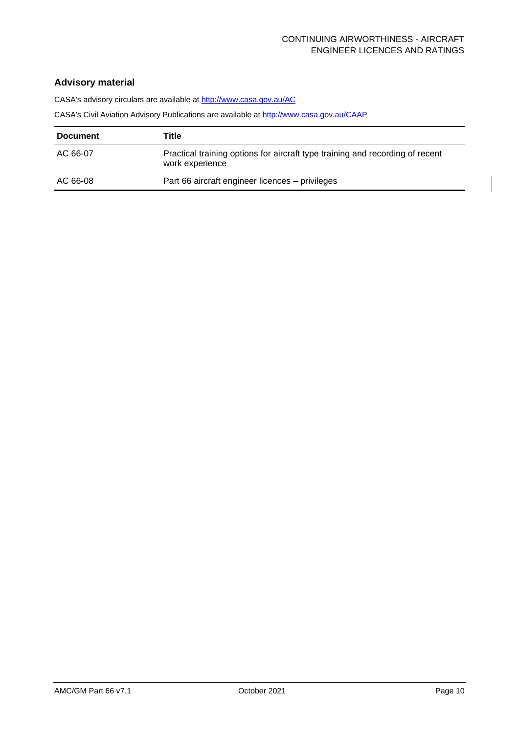#### **Advisory material**

CASA's advisory circulars are available at<http://www.casa.gov.au/AC>

CASA's Civil Aviation Advisory Publications are available at<http://www.casa.gov.au/CAAP>

| <b>Document</b> | Title                                                                                            |
|-----------------|--------------------------------------------------------------------------------------------------|
| AC 66-07        | Practical training options for aircraft type training and recording of recent<br>work experience |
| AC 66-08        | Part 66 aircraft engineer licences - privileges                                                  |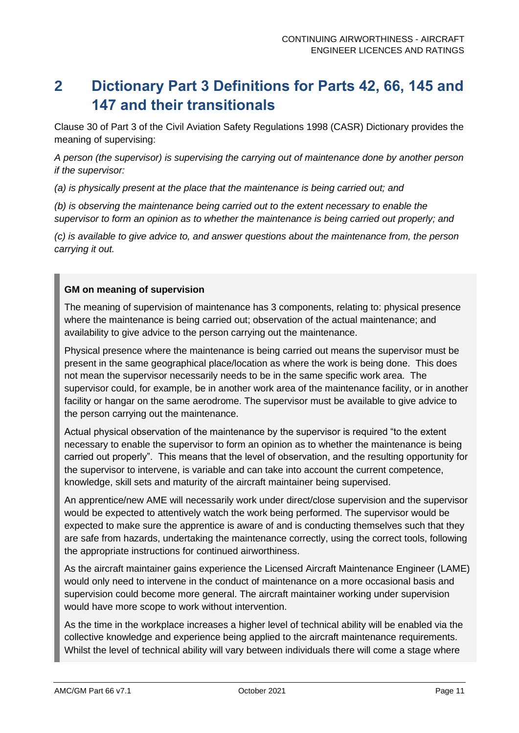# <span id="page-11-0"></span>**2 Dictionary Part 3 Definitions for Parts 42, 66, 145 and 147 and their transitionals**

Clause 30 of Part 3 of the Civil Aviation Safety Regulations 1998 (CASR) Dictionary provides the meaning of supervising:

*A person (the supervisor) is supervising the carrying out of maintenance done by another person if the supervisor:* 

*(a) is physically present at the place that the maintenance is being carried out; and* 

*(b) is observing the maintenance being carried out to the extent necessary to enable the supervisor to form an opinion as to whether the maintenance is being carried out properly; and* 

*(c) is available to give advice to, and answer questions about the maintenance from, the person carrying it out.*

#### **GM on meaning of supervision**

The meaning of supervision of maintenance has 3 components, relating to: physical presence where the maintenance is being carried out; observation of the actual maintenance; and availability to give advice to the person carrying out the maintenance.

Physical presence where the maintenance is being carried out means the supervisor must be present in the same geographical place/location as where the work is being done. This does not mean the supervisor necessarily needs to be in the same specific work area. The supervisor could, for example, be in another work area of the maintenance facility, or in another facility or hangar on the same aerodrome. The supervisor must be available to give advice to the person carrying out the maintenance.

Actual physical observation of the maintenance by the supervisor is required "to the extent necessary to enable the supervisor to form an opinion as to whether the maintenance is being carried out properly". This means that the level of observation, and the resulting opportunity for the supervisor to intervene, is variable and can take into account the current competence, knowledge, skill sets and maturity of the aircraft maintainer being supervised.

An apprentice/new AME will necessarily work under direct/close supervision and the supervisor would be expected to attentively watch the work being performed. The supervisor would be expected to make sure the apprentice is aware of and is conducting themselves such that they are safe from hazards, undertaking the maintenance correctly, using the correct tools, following the appropriate instructions for continued airworthiness.

As the aircraft maintainer gains experience the Licensed Aircraft Maintenance Engineer (LAME) would only need to intervene in the conduct of maintenance on a more occasional basis and supervision could become more general. The aircraft maintainer working under supervision would have more scope to work without intervention.

As the time in the workplace increases a higher level of technical ability will be enabled via the collective knowledge and experience being applied to the aircraft maintenance requirements. Whilst the level of technical ability will vary between individuals there will come a stage where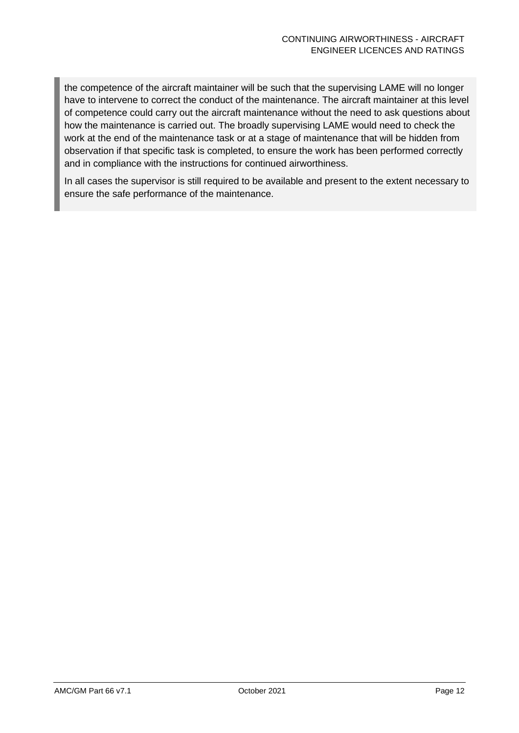the competence of the aircraft maintainer will be such that the supervising LAME will no longer have to intervene to correct the conduct of the maintenance. The aircraft maintainer at this level of competence could carry out the aircraft maintenance without the need to ask questions about how the maintenance is carried out. The broadly supervising LAME would need to check the work at the end of the maintenance task or at a stage of maintenance that will be hidden from observation if that specific task is completed, to ensure the work has been performed correctly and in compliance with the instructions for continued airworthiness.

In all cases the supervisor is still required to be available and present to the extent necessary to ensure the safe performance of the maintenance.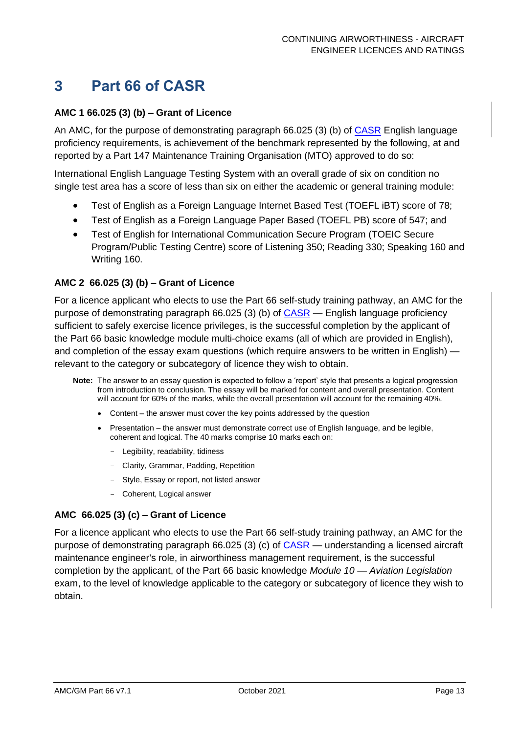## <span id="page-13-0"></span>**3 Part 66 of CASR**

#### **AMC 1 66.025 (3) (b) – Grant of Licence**

An AMC, for the purpose of demonstrating paragraph 66.025 (3) (b) of [CASR](https://www.legislation.gov.au/Series/F1998B00220) English language proficiency requirements, is achievement of the benchmark represented by the following, at and reported by a Part 147 Maintenance Training Organisation (MTO) approved to do so:

International English Language Testing System with an overall grade of six on condition no single test area has a score of less than six on either the academic or general training module:

- Test of English as a Foreign Language Internet Based Test (TOEFL iBT) score of 78;
- Test of English as a Foreign Language Paper Based (TOEFL PB) score of 547; and
- Test of English for International Communication Secure Program (TOEIC Secure Program/Public Testing Centre) score of Listening 350; Reading 330; Speaking 160 and Writing 160.

#### **AMC 2 66.025 (3) (b) – Grant of Licence**

For a licence applicant who elects to use the Part 66 self-study training pathway, an AMC for the purpose of demonstrating paragraph 66.025 (3) (b) of  $CASR$  — English language proficiency sufficient to safely exercise licence privileges, is the successful completion by the applicant of the Part 66 basic knowledge module multi-choice exams (all of which are provided in English), and completion of the essay exam questions (which require answers to be written in English) relevant to the category or subcategory of licence they wish to obtain.

- **Note:** The answer to an essay question is expected to follow a 'report' style that presents a logical progression from introduction to conclusion. The essay will be marked for content and overall presentation. Content will account for 60% of the marks, while the overall presentation will account for the remaining 40%.
	- Content the answer must cover the key points addressed by the question
	- Presentation the answer must demonstrate correct use of English language, and be legible, coherent and logical. The 40 marks comprise 10 marks each on:
		- Legibility, readability, tidiness
		- Clarity, Grammar, Padding, Repetition
		- Style, Essay or report, not listed answer
		- Coherent, Logical answer

#### **AMC 66.025 (3) (c) – Grant of Licence**

For a licence applicant who elects to use the Part 66 self-study training pathway, an AMC for the purpose of demonstrating paragraph 66.025 (3) (c) of [CASR](https://www.legislation.gov.au/Series/F1998B00220) — understanding a licensed aircraft maintenance engineer's role, in airworthiness management requirement, is the successful completion by the applicant, of the Part 66 basic knowledge *Module 10 — Aviation Legislation* exam, to the level of knowledge applicable to the category or subcategory of licence they wish to obtain.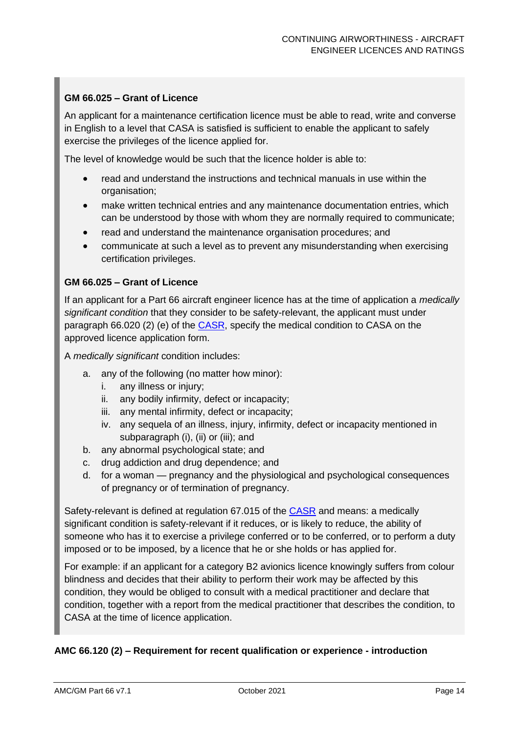#### **GM 66.025 – Grant of Licence**

An applicant for a maintenance certification licence must be able to read, write and converse in English to a level that CASA is satisfied is sufficient to enable the applicant to safely exercise the privileges of the licence applied for.

The level of knowledge would be such that the licence holder is able to:

- read and understand the instructions and technical manuals in use within the organisation;
- make written technical entries and any maintenance documentation entries, which can be understood by those with whom they are normally required to communicate;
- read and understand the maintenance organisation procedures; and
- communicate at such a level as to prevent any misunderstanding when exercising certification privileges.

#### **GM 66.025 – Grant of Licence**

If an applicant for a Part 66 aircraft engineer licence has at the time of application a *medically significant condition* that they consider to be safety-relevant, the applicant must under paragraph 66.020 (2) (e) of the [CASR,](https://www.legislation.gov.au/Series/F1998B00220) specify the medical condition to CASA on the approved licence application form.

A *medically significant* condition includes:

- a. any of the following (no matter how minor):
	- i. any illness or injury;
	- ii. any bodily infirmity, defect or incapacity;
	- iii. any mental infirmity, defect or incapacity;
	- iv. any sequela of an illness, injury, infirmity, defect or incapacity mentioned in subparagraph (i), (ii) or (iii); and
- b. any abnormal psychological state; and
- c. drug addiction and drug dependence; and
- d. for a woman pregnancy and the physiological and psychological consequences of pregnancy or of termination of pregnancy.

Safety-relevant is defined at regulation 67.015 of the [CASR](https://www.legislation.gov.au/Series/F1998B00220) and means: a medically significant condition is safety-relevant if it reduces, or is likely to reduce, the ability of someone who has it to exercise a privilege conferred or to be conferred, or to perform a duty imposed or to be imposed, by a licence that he or she holds or has applied for.

For example: if an applicant for a category B2 avionics licence knowingly suffers from colour blindness and decides that their ability to perform their work may be affected by this condition, they would be obliged to consult with a medical practitioner and declare that condition, together with a report from the medical practitioner that describes the condition, to CASA at the time of licence application.

#### **AMC 66.120 (2) – Requirement for recent qualification or experience - introduction**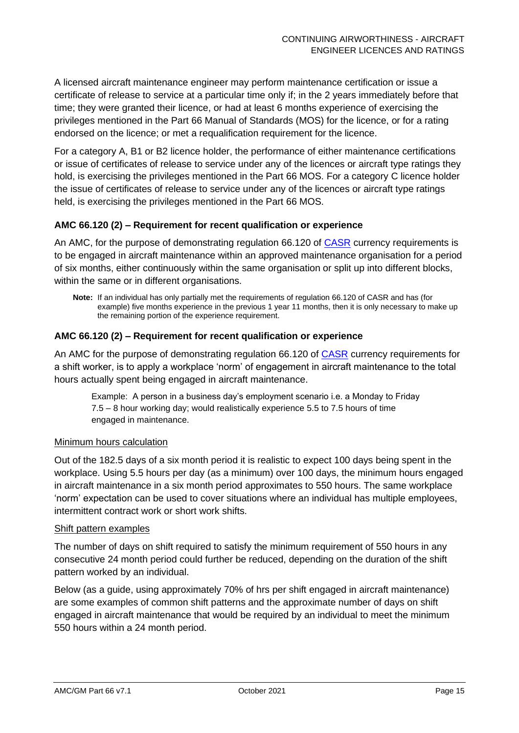A licensed aircraft maintenance engineer may perform maintenance certification or issue a certificate of release to service at a particular time only if; in the 2 years immediately before that time; they were granted their licence, or had at least 6 months experience of exercising the privileges mentioned in the Part 66 Manual of Standards (MOS) for the licence, or for a rating endorsed on the licence; or met a requalification requirement for the licence.

For a category A, B1 or B2 licence holder, the performance of either maintenance certifications or issue of certificates of release to service under any of the licences or aircraft type ratings they hold, is exercising the privileges mentioned in the Part 66 MOS. For a category C licence holder the issue of certificates of release to service under any of the licences or aircraft type ratings held, is exercising the privileges mentioned in the Part 66 MOS.

#### **AMC 66.120 (2) – Requirement for recent qualification or experience**

An AMC, for the purpose of demonstrating regulation 66.120 of [CASR](https://www.legislation.gov.au/Series/F1998B00220) currency requirements is to be engaged in aircraft maintenance within an approved maintenance organisation for a period of six months, either continuously within the same organisation or split up into different blocks, within the same or in different organisations.

**Note:** If an individual has only partially met the requirements of regulation 66.120 of CASR and has (for example) five months experience in the previous 1 year 11 months, then it is only necessary to make up the remaining portion of the experience requirement.

#### **AMC 66.120 (2) – Requirement for recent qualification or experience**

An AMC for the purpose of demonstrating regulation 66.120 of [CASR](https://www.legislation.gov.au/Series/F1998B00220) currency requirements for a shift worker, is to apply a workplace 'norm' of engagement in aircraft maintenance to the total hours actually spent being engaged in aircraft maintenance.

Example: A person in a business day's employment scenario i.e. a Monday to Friday 7.5 – 8 hour working day; would realistically experience 5.5 to 7.5 hours of time engaged in maintenance.

#### **Minimum hours calculation**

Out of the 182.5 days of a six month period it is realistic to expect 100 days being spent in the workplace. Using 5.5 hours per day (as a minimum) over 100 days, the minimum hours engaged in aircraft maintenance in a six month period approximates to 550 hours. The same workplace 'norm' expectation can be used to cover situations where an individual has multiple employees, intermittent contract work or short work shifts.

#### Shift pattern examples

The number of days on shift required to satisfy the minimum requirement of 550 hours in any consecutive 24 month period could further be reduced, depending on the duration of the shift pattern worked by an individual.

Below (as a guide, using approximately 70% of hrs per shift engaged in aircraft maintenance) are some examples of common shift patterns and the approximate number of days on shift engaged in aircraft maintenance that would be required by an individual to meet the minimum 550 hours within a 24 month period.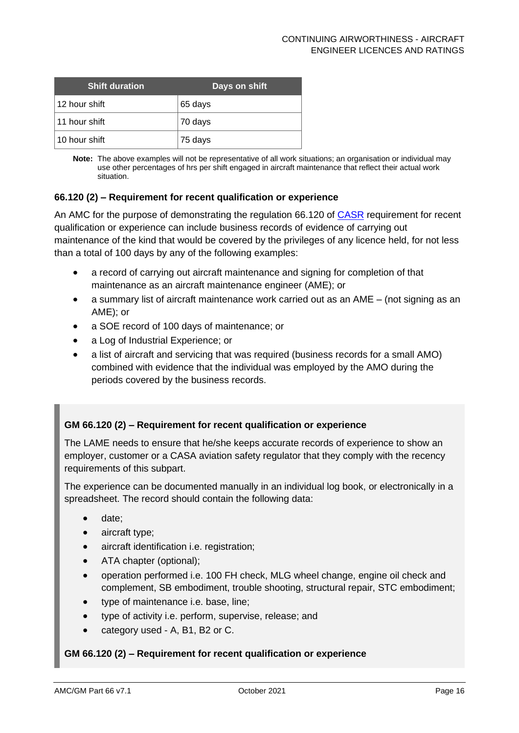| <b>Shift duration</b> | Days on shift |
|-----------------------|---------------|
| ∣12 hour shift        | 65 days       |
| 11 hour shift         | 70 days       |
| ∣10 hour shift        | 75 days       |

**Note:** The above examples will not be representative of all work situations; an organisation or individual may use other percentages of hrs per shift engaged in aircraft maintenance that reflect their actual work situation.

#### **66.120 (2) – Requirement for recent qualification or experience**

An AMC for the purpose of demonstrating the regulation 66.120 of [CASR](https://www.legislation.gov.au/Series/F1998B00220) requirement for recent qualification or experience can include business records of evidence of carrying out maintenance of the kind that would be covered by the privileges of any licence held, for not less than a total of 100 days by any of the following examples:

- a record of carrying out aircraft maintenance and signing for completion of that maintenance as an aircraft maintenance engineer (AME); or
- a summary list of aircraft maintenance work carried out as an AME (not signing as an AME); or
- a SOE record of 100 days of maintenance; or
- a Log of Industrial Experience; or
- a list of aircraft and servicing that was required (business records for a small AMO) combined with evidence that the individual was employed by the AMO during the periods covered by the business records.

#### **GM 66.120 (2) – Requirement for recent qualification or experience**

The LAME needs to ensure that he/she keeps accurate records of experience to show an employer, customer or a CASA aviation safety regulator that they comply with the recency requirements of this subpart.

The experience can be documented manually in an individual log book, or electronically in a spreadsheet. The record should contain the following data:

- date;
- aircraft type;
- aircraft identification i.e. registration;
- ATA chapter (optional);
- operation performed i.e. 100 FH check, MLG wheel change, engine oil check and complement, SB embodiment, trouble shooting, structural repair, STC embodiment;
- type of maintenance i.e. base, line;
- type of activity i.e. perform, supervise, release; and
- category used A, B1, B2 or C.

#### **GM 66.120 (2) – Requirement for recent qualification or experience**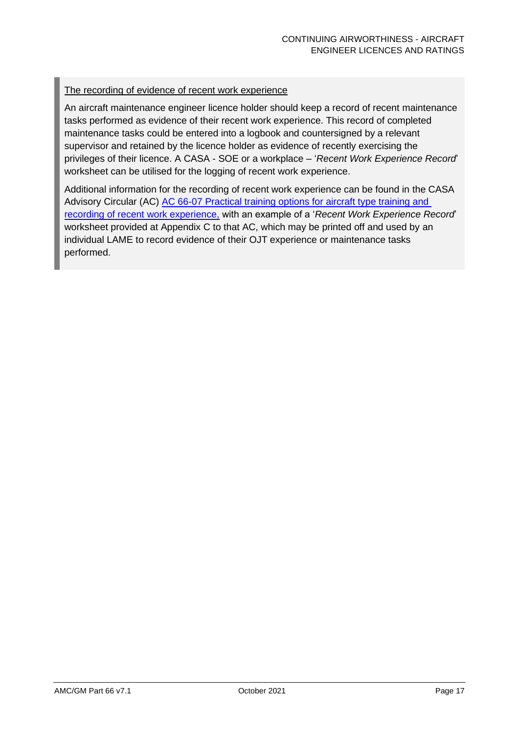#### The recording of evidence of recent work experience

An aircraft maintenance engineer licence holder should keep a record of recent maintenance tasks performed as evidence of their recent work experience. This record of completed maintenance tasks could be entered into a logbook and countersigned by a relevant supervisor and retained by the licence holder as evidence of recently exercising the privileges of their licence. A CASA - SOE or a workplace – '*Recent Work Experience Record*' worksheet can be utilised for the logging of recent work experience.

Additional information for the recording of recent work experience can be found in the CASA Advisory Circular (AC) [AC 66-07 Practical training options for aircraft type training and](https://www.casa.gov.au/files/066c07pdf)  [recording of recent work experience,](https://www.casa.gov.au/files/066c07pdf) with an example of a '*Recent Work Experience Record*' worksheet provided at Appendix C to that AC, which may be printed off and used by an individual LAME to record evidence of their OJT experience or maintenance tasks performed.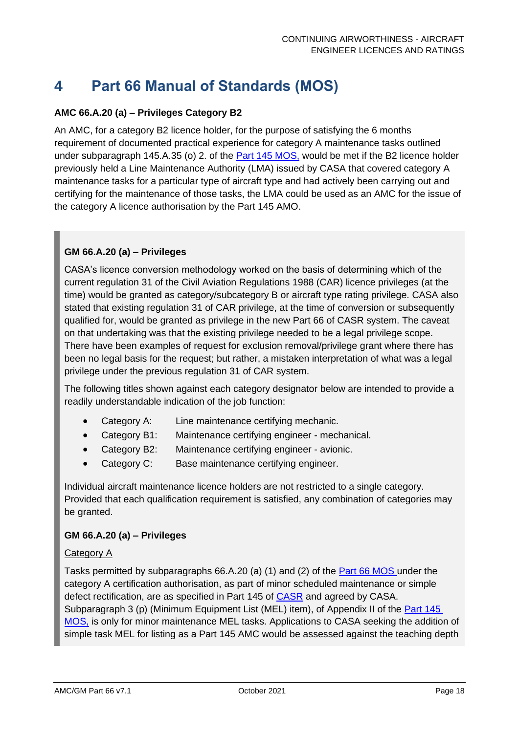# <span id="page-18-0"></span>**4 Part 66 Manual of Standards (MOS)**

#### **AMC 66.A.20 (a) – Privileges Category B2**

An AMC, for a category B2 licence holder, for the purpose of satisfying the 6 months requirement of documented practical experience for category A maintenance tasks outlined under subparagraph 145.A.35 (o) 2. of the [Part 145 MOS,](https://www.legislation.gov.au/Details/F2015C00263) would be met if the B2 licence holder previously held a Line Maintenance Authority (LMA) issued by CASA that covered category A maintenance tasks for a particular type of aircraft type and had actively been carrying out and certifying for the maintenance of those tasks, the LMA could be used as an AMC for the issue of the category A licence authorisation by the Part 145 AMO.

#### **GM 66.A.20 (a) – Privileges**

CASA's licence conversion methodology worked on the basis of determining which of the current regulation 31 of the Civil Aviation Regulations 1988 (CAR) licence privileges (at the time) would be granted as category/subcategory B or aircraft type rating privilege. CASA also stated that existing regulation 31 of CAR privilege, at the time of conversion or subsequently qualified for, would be granted as privilege in the new Part 66 of CASR system. The caveat on that undertaking was that the existing privilege needed to be a legal privilege scope. There have been examples of request for exclusion removal/privilege grant where there has been no legal basis for the request; but rather, a mistaken interpretation of what was a legal privilege under the previous regulation 31 of CAR system.

The following titles shown against each category designator below are intended to provide a readily understandable indication of the job function:

- Category A: Line maintenance certifying mechanic.
- Category B1: Maintenance certifying engineer mechanical.
- Category B2: Maintenance certifying engineer avionic.
- Category C: Base maintenance certifying engineer.

Individual aircraft maintenance licence holders are not restricted to a single category. Provided that each qualification requirement is satisfied, any combination of categories may be granted.

#### **GM 66.A.20 (a) – Privileges**

#### Category A

Tasks permitted by subparagraphs 66.A.20 (a) (1) and (2) of the [Part 66 MOS u](https://www.legislation.gov.au/Details/F2016C00461)nder the category A certification authorisation, as part of minor scheduled maintenance or simple defect rectification, are as specified in Part 145 of [CASR](https://www.legislation.gov.au/Series/F1998B00220) and agreed by CASA. Subparagraph 3 (p) (Minimum Equipment List (MEL) item), of Appendix II of the Part 145 [MOS,](https://www.legislation.gov.au/Details/F2015C00263) is only for minor maintenance MEL tasks. Applications to CASA seeking the addition of simple task MEL for listing as a Part 145 AMC would be assessed against the teaching depth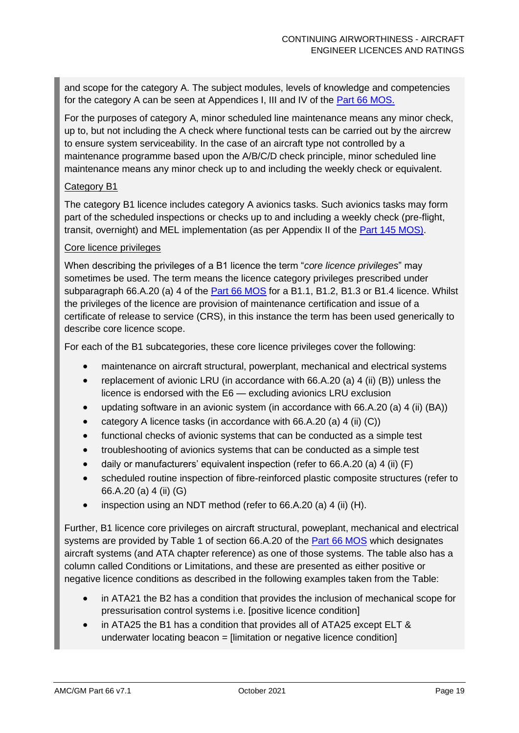and scope for the category A. The subject modules, levels of knowledge and competencies for the category A can be seen at Appendices I, III and IV of the [Part 66 MOS.](https://www.legislation.gov.au/Details/F2016C00461)

For the purposes of category A, minor scheduled line maintenance means any minor check, up to, but not including the A check where functional tests can be carried out by the aircrew to ensure system serviceability. In the case of an aircraft type not controlled by a maintenance programme based upon the A/B/C/D check principle, minor scheduled line maintenance means any minor check up to and including the weekly check or equivalent.

#### Category B1

The category B1 licence includes category A avionics tasks. Such avionics tasks may form part of the scheduled inspections or checks up to and including a weekly check (pre-flight, transit, overnight) and MEL implementation (as per Appendix II of the [Part 145 MOS\).](https://www.legislation.gov.au/Details/F2015C00263)

#### Core licence privileges

When describing the privileges of a B1 licence the term "*core licence privileges*" may sometimes be used. The term means the licence category privileges prescribed under subparagraph 66.A.20 (a) 4 of the [Part 66 MOS](https://www.legislation.gov.au/Details/F2016C00461) for a B1.1, B1.2, B1.3 or B1.4 licence. Whilst the privileges of the licence are provision of maintenance certification and issue of a certificate of release to service (CRS), in this instance the term has been used generically to describe core licence scope.

For each of the B1 subcategories, these core licence privileges cover the following:

- maintenance on aircraft structural, powerplant, mechanical and electrical systems
- replacement of avionic LRU (in accordance with 66.A.20 (a) 4 (ii) (B)) unless the licence is endorsed with the E6 — excluding avionics LRU exclusion
- updating software in an avionic system (in accordance with 66.A.20 (a) 4 (ii) (BA))
- category A licence tasks (in accordance with 66.A.20 (a) 4 (ii) (C))
- functional checks of avionic systems that can be conducted as a simple test
- troubleshooting of avionics systems that can be conducted as a simple test
- daily or manufacturers' equivalent inspection (refer to 66.A.20 (a) 4 (ii) (F)
- scheduled routine inspection of fibre-reinforced plastic composite structures (refer to 66.A.20 (a) 4 (ii) (G)
- inspection using an NDT method (refer to 66.A.20 (a) 4 (ii) (H).

Further, B1 licence core privileges on aircraft structural, poweplant, mechanical and electrical systems are provided by Table 1 of section 66.A.20 of the [Part 66 MOS](https://www.legislation.gov.au/Details/F2016C00461) which designates aircraft systems (and ATA chapter reference) as one of those systems. The table also has a column called Conditions or Limitations, and these are presented as either positive or negative licence conditions as described in the following examples taken from the Table:

- in ATA21 the B2 has a condition that provides the inclusion of mechanical scope for pressurisation control systems i.e. [positive licence condition]
- in ATA25 the B1 has a condition that provides all of ATA25 except ELT & underwater locating beacon = [limitation or negative licence condition]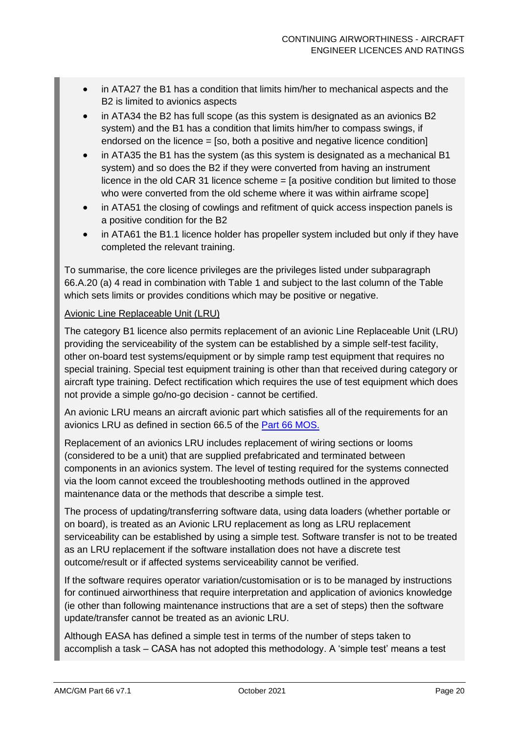- in ATA27 the B1 has a condition that limits him/her to mechanical aspects and the B2 is limited to avionics aspects
- in ATA34 the B2 has full scope (as this system is designated as an avionics B2 system) and the B1 has a condition that limits him/her to compass swings, if endorsed on the licence = [so, both a positive and negative licence condition]
- in ATA35 the B1 has the system (as this system is designated as a mechanical B1 system) and so does the B2 if they were converted from having an instrument licence in the old CAR 31 licence scheme = [a positive condition but limited to those who were converted from the old scheme where it was within airframe scope]
- in ATA51 the closing of cowlings and refitment of quick access inspection panels is a positive condition for the B2
- in ATA61 the B1.1 licence holder has propeller system included but only if they have completed the relevant training.

To summarise, the core licence privileges are the privileges listed under subparagraph 66.A.20 (a) 4 read in combination with Table 1 and subject to the last column of the Table which sets limits or provides conditions which may be positive or negative.

#### Avionic Line Replaceable Unit (LRU)

The category B1 licence also permits replacement of an avionic Line Replaceable Unit (LRU) providing the serviceability of the system can be established by a simple self-test facility, other on-board test systems/equipment or by simple ramp test equipment that requires no special training. Special test equipment training is other than that received during category or aircraft type training. Defect rectification which requires the use of test equipment which does not provide a simple go/no-go decision - cannot be certified.

An avionic LRU means an aircraft avionic part which satisfies all of the requirements for an avionics LRU as defined in section 66.5 of the [Part 66 MOS.](https://www.legislation.gov.au/Details/F2016C00461)

Replacement of an avionics LRU includes replacement of wiring sections or looms (considered to be a unit) that are supplied prefabricated and terminated between components in an avionics system. The level of testing required for the systems connected via the loom cannot exceed the troubleshooting methods outlined in the approved maintenance data or the methods that describe a simple test.

The process of updating/transferring software data, using data loaders (whether portable or on board), is treated as an Avionic LRU replacement as long as LRU replacement serviceability can be established by using a simple test. Software transfer is not to be treated as an LRU replacement if the software installation does not have a discrete test outcome/result or if affected systems serviceability cannot be verified.

If the software requires operator variation/customisation or is to be managed by instructions for continued airworthiness that require interpretation and application of avionics knowledge (ie other than following maintenance instructions that are a set of steps) then the software update/transfer cannot be treated as an avionic LRU.

Although EASA has defined a simple test in terms of the number of steps taken to accomplish a task – CASA has not adopted this methodology. A 'simple test' means a test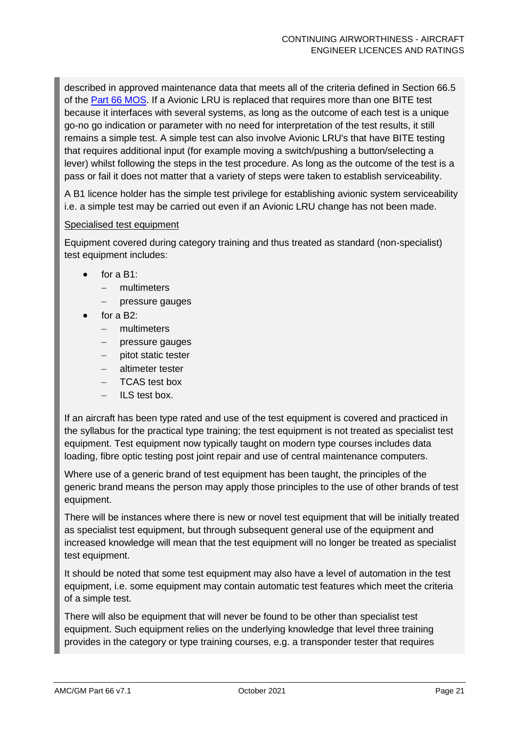described in approved maintenance data that meets all of the criteria defined in Section 66.5 of the [Part 66 MOS.](http://www.comlaw.gov.au/Series/F1998B00220) If a Avionic LRU is replaced that requires more than one BITE test because it interfaces with several systems, as long as the outcome of each test is a unique go-no go indication or parameter with no need for interpretation of the test results, it still remains a simple test. A simple test can also involve Avionic LRU's that have BITE testing that requires additional input (for example moving a switch/pushing a button/selecting a lever) whilst following the steps in the test procedure. As long as the outcome of the test is a pass or fail it does not matter that a variety of steps were taken to establish serviceability.

A B1 licence holder has the simple test privilege for establishing avionic system serviceability i.e. a simple test may be carried out even if an Avionic LRU change has not been made.

#### Specialised test equipment

Equipment covered during category training and thus treated as standard (non-specialist) test equipment includes:

- for a  $B1$ :
	- − multimeters
	- − pressure gauges
- for a  $B2$ :
	- − multimeters
	- − pressure gauges
	- − pitot static tester
	- − altimeter tester
	- − TCAS test box
	- − ILS test box.

If an aircraft has been type rated and use of the test equipment is covered and practiced in the syllabus for the practical type training; the test equipment is not treated as specialist test equipment. Test equipment now typically taught on modern type courses includes data loading, fibre optic testing post joint repair and use of central maintenance computers.

Where use of a generic brand of test equipment has been taught, the principles of the generic brand means the person may apply those principles to the use of other brands of test equipment.

There will be instances where there is new or novel test equipment that will be initially treated as specialist test equipment, but through subsequent general use of the equipment and increased knowledge will mean that the test equipment will no longer be treated as specialist test equipment.

It should be noted that some test equipment may also have a level of automation in the test equipment, i.e. some equipment may contain automatic test features which meet the criteria of a simple test.

There will also be equipment that will never be found to be other than specialist test equipment. Such equipment relies on the underlying knowledge that level three training provides in the category or type training courses, e.g. a transponder tester that requires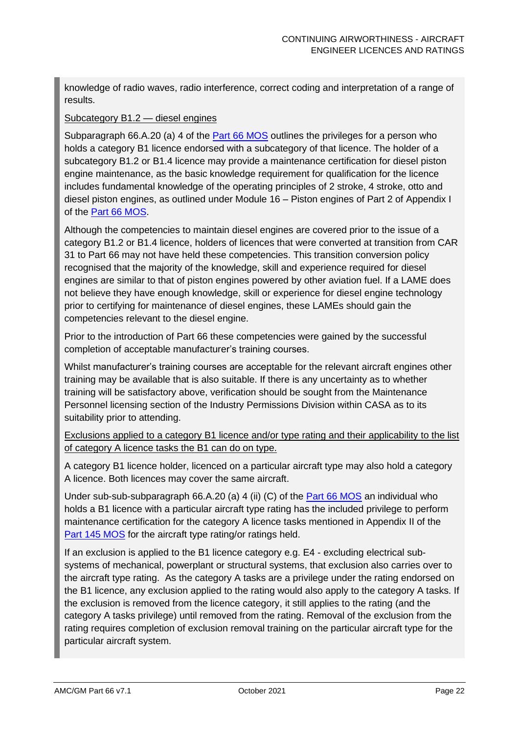knowledge of radio waves, radio interference, correct coding and interpretation of a range of results.

#### Subcategory B1.2 — diesel engines

Subparagraph 66.A.20 (a) 4 of the [Part 66 MOS](https://www.legislation.gov.au/Details/F2016C00461) outlines the privileges for a person who holds a category B1 licence endorsed with a subcategory of that licence. The holder of a subcategory B1.2 or B1.4 licence may provide a maintenance certification for diesel piston engine maintenance, as the basic knowledge requirement for qualification for the licence includes fundamental knowledge of the operating principles of 2 stroke, 4 stroke, otto and diesel piston engines, as outlined under Module 16 – Piston engines of Part 2 of Appendix I of the [Part 66 MOS.](https://www.legislation.gov.au/Details/F2016C00461)

Although the competencies to maintain diesel engines are covered prior to the issue of a category B1.2 or B1.4 licence, holders of licences that were converted at transition from CAR 31 to Part 66 may not have held these competencies. This transition conversion policy recognised that the majority of the knowledge, skill and experience required for diesel engines are similar to that of piston engines powered by other aviation fuel. If a LAME does not believe they have enough knowledge, skill or experience for diesel engine technology prior to certifying for maintenance of diesel engines, these LAMEs should gain the competencies relevant to the diesel engine.

Prior to the introduction of Part 66 these competencies were gained by the successful completion of acceptable manufacturer's training courses.

Whilst manufacturer's training courses are acceptable for the relevant aircraft engines other training may be available that is also suitable. If there is any uncertainty as to whether training will be satisfactory above, verification should be sought from the Maintenance Personnel licensing section of the Industry Permissions Division within CASA as to its suitability prior to attending.

Exclusions applied to a category B1 licence and/or type rating and their applicability to the list of category A licence tasks the B1 can do on type.

A category B1 licence holder, licenced on a particular aircraft type may also hold a category A licence. Both licences may cover the same aircraft.

Under sub-sub-subparagraph 66.A.20 (a) 4 (ii) (C) of the **Part 66 MOS** an individual who holds a B1 licence with a particular aircraft type rating has the included privilege to perform maintenance certification for the category A licence tasks mentioned in Appendix II of the [Part 145 MOS](https://www.legislation.gov.au/Details/F2015C00263) for the aircraft type rating/or ratings held.

If an exclusion is applied to the B1 licence category e.g. E4 - excluding electrical subsystems of mechanical, powerplant or structural systems, that exclusion also carries over to the aircraft type rating. As the category A tasks are a privilege under the rating endorsed on the B1 licence, any exclusion applied to the rating would also apply to the category A tasks. If the exclusion is removed from the licence category, it still applies to the rating (and the category A tasks privilege) until removed from the rating. Removal of the exclusion from the rating requires completion of exclusion removal training on the particular aircraft type for the particular aircraft system.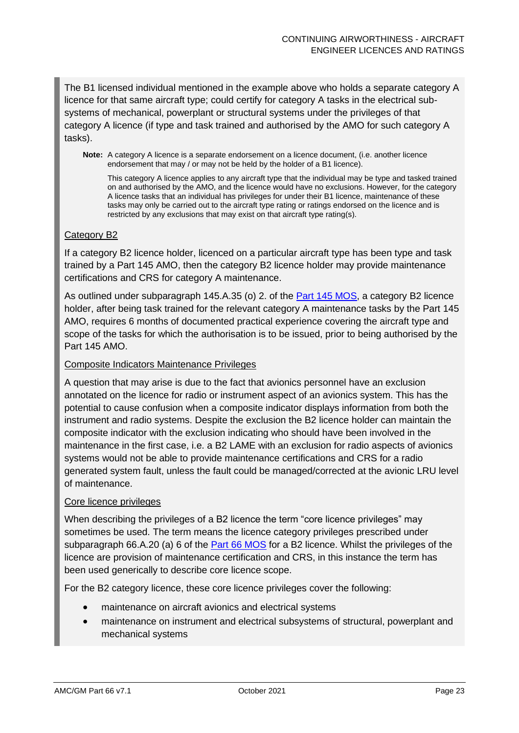The B1 licensed individual mentioned in the example above who holds a separate category A licence for that same aircraft type; could certify for category A tasks in the electrical subsystems of mechanical, powerplant or structural systems under the privileges of that category A licence (if type and task trained and authorised by the AMO for such category A tasks).

**Note:** A category A licence is a separate endorsement on a licence document, (i.e. another licence endorsement that may / or may not be held by the holder of a B1 licence).

This category A licence applies to any aircraft type that the individual may be type and tasked trained on and authorised by the AMO, and the licence would have no exclusions. However, for the category A licence tasks that an individual has privileges for under their B1 licence, maintenance of these tasks may only be carried out to the aircraft type rating or ratings endorsed on the licence and is restricted by any exclusions that may exist on that aircraft type rating(s).

#### Category B2

If a category B2 licence holder, licenced on a particular aircraft type has been type and task trained by a Part 145 AMO, then the category B2 licence holder may provide maintenance certifications and CRS for category A maintenance.

As outlined under subparagraph 145.A.35 (o) 2. of the [Part 145 MOS,](https://www.legislation.gov.au/Details/F2015C00263) a category B2 licence holder, after being task trained for the relevant category A maintenance tasks by the Part 145 AMO, requires 6 months of documented practical experience covering the aircraft type and scope of the tasks for which the authorisation is to be issued, prior to being authorised by the Part 145 AMO.

#### Composite Indicators Maintenance Privileges

A question that may arise is due to the fact that avionics personnel have an exclusion annotated on the licence for radio or instrument aspect of an avionics system. This has the potential to cause confusion when a composite indicator displays information from both the instrument and radio systems. Despite the exclusion the B2 licence holder can maintain the composite indicator with the exclusion indicating who should have been involved in the maintenance in the first case, i.e. a B2 LAME with an exclusion for radio aspects of avionics systems would not be able to provide maintenance certifications and CRS for a radio generated system fault, unless the fault could be managed/corrected at the avionic LRU level of maintenance.

#### Core licence privileges

When describing the privileges of a B2 licence the term "core licence privileges" may sometimes be used. The term means the licence category privileges prescribed under subparagraph 66.A.20 (a) 6 of the [Part 66 MOS](https://www.legislation.gov.au/Details/F2016C00461) for a B2 licence. Whilst the privileges of the licence are provision of maintenance certification and CRS, in this instance the term has been used generically to describe core licence scope.

For the B2 category licence, these core licence privileges cover the following:

- maintenance on aircraft avionics and electrical systems
- maintenance on instrument and electrical subsystems of structural, powerplant and mechanical systems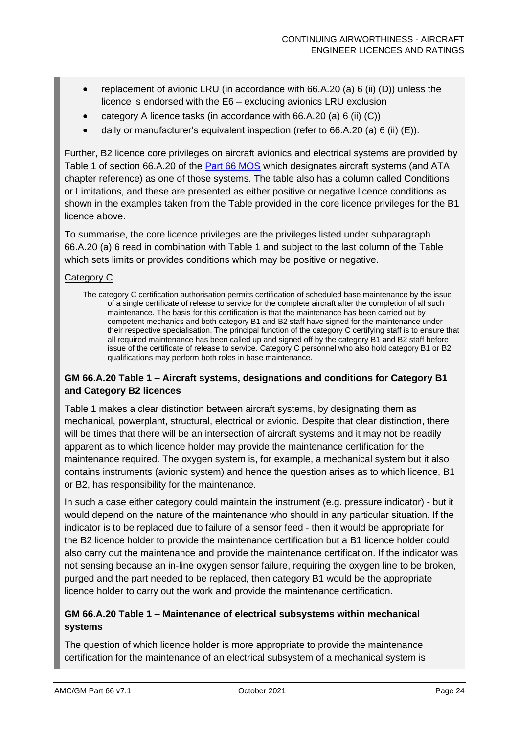- replacement of avionic LRU (in accordance with 66.A.20 (a) 6 (ii) (D)) unless the licence is endorsed with the E6 – excluding avionics LRU exclusion
- category A licence tasks (in accordance with 66.A.20 (a) 6 (ii) (C))
- daily or manufacturer's equivalent inspection (refer to 66.A.20 (a) 6 (ii) (E)).

Further, B2 licence core privileges on aircraft avionics and electrical systems are provided by Table 1 of section 66.A.20 of the [Part 66 MOS](https://www.legislation.gov.au/Details/F2016C00461) which designates aircraft systems (and ATA chapter reference) as one of those systems. The table also has a column called Conditions or Limitations, and these are presented as either positive or negative licence conditions as shown in the examples taken from the Table provided in the core licence privileges for the B1 licence above.

To summarise, the core licence privileges are the privileges listed under subparagraph 66.A.20 (a) 6 read in combination with Table 1 and subject to the last column of the Table which sets limits or provides conditions which may be positive or negative.

#### Category C

The category C certification authorisation permits certification of scheduled base maintenance by the issue of a single certificate of release to service for the complete aircraft after the completion of all such maintenance. The basis for this certification is that the maintenance has been carried out by competent mechanics and both category B1 and B2 staff have signed for the maintenance under their respective specialisation. The principal function of the category C certifying staff is to ensure that all required maintenance has been called up and signed off by the category B1 and B2 staff before issue of the certificate of release to service. Category C personnel who also hold category B1 or B2 qualifications may perform both roles in base maintenance.

#### **GM 66.A.20 Table 1 – Aircraft systems, designations and conditions for Category B1 and Category B2 licences**

Table 1 makes a clear distinction between aircraft systems, by designating them as mechanical, powerplant, structural, electrical or avionic. Despite that clear distinction, there will be times that there will be an intersection of aircraft systems and it may not be readily apparent as to which licence holder may provide the maintenance certification for the maintenance required. The oxygen system is, for example, a mechanical system but it also contains instruments (avionic system) and hence the question arises as to which licence, B1 or B2, has responsibility for the maintenance.

In such a case either category could maintain the instrument (e.g. pressure indicator) - but it would depend on the nature of the maintenance who should in any particular situation. If the indicator is to be replaced due to failure of a sensor feed - then it would be appropriate for the B2 licence holder to provide the maintenance certification but a B1 licence holder could also carry out the maintenance and provide the maintenance certification. If the indicator was not sensing because an in-line oxygen sensor failure, requiring the oxygen line to be broken, purged and the part needed to be replaced, then category B1 would be the appropriate licence holder to carry out the work and provide the maintenance certification.

#### **GM 66.A.20 Table 1 – Maintenance of electrical subsystems within mechanical systems**

The question of which licence holder is more appropriate to provide the maintenance certification for the maintenance of an electrical subsystem of a mechanical system is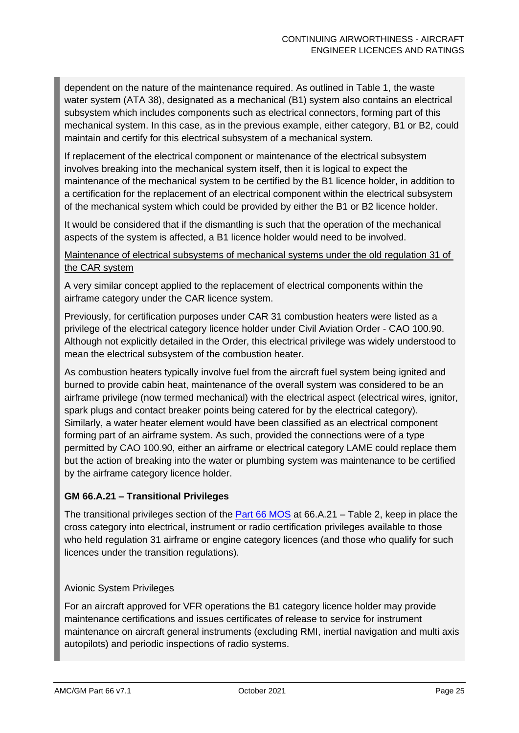dependent on the nature of the maintenance required. As outlined in Table 1, the waste water system (ATA 38), designated as a mechanical (B1) system also contains an electrical subsystem which includes components such as electrical connectors, forming part of this mechanical system. In this case, as in the previous example, either category, B1 or B2, could maintain and certify for this electrical subsystem of a mechanical system.

If replacement of the electrical component or maintenance of the electrical subsystem involves breaking into the mechanical system itself, then it is logical to expect the maintenance of the mechanical system to be certified by the B1 licence holder, in addition to a certification for the replacement of an electrical component within the electrical subsystem of the mechanical system which could be provided by either the B1 or B2 licence holder.

It would be considered that if the dismantling is such that the operation of the mechanical aspects of the system is affected, a B1 licence holder would need to be involved.

#### Maintenance of electrical subsystems of mechanical systems under the old regulation 31 of the CAR system

A very similar concept applied to the replacement of electrical components within the airframe category under the CAR licence system.

Previously, for certification purposes under CAR 31 combustion heaters were listed as a privilege of the electrical category licence holder under Civil Aviation Order - CAO 100.90. Although not explicitly detailed in the Order, this electrical privilege was widely understood to mean the electrical subsystem of the combustion heater.

As combustion heaters typically involve fuel from the aircraft fuel system being ignited and burned to provide cabin heat, maintenance of the overall system was considered to be an airframe privilege (now termed mechanical) with the electrical aspect (electrical wires, ignitor, spark plugs and contact breaker points being catered for by the electrical category). Similarly, a water heater element would have been classified as an electrical component forming part of an airframe system. As such, provided the connections were of a type permitted by CAO 100.90, either an airframe or electrical category LAME could replace them but the action of breaking into the water or plumbing system was maintenance to be certified by the airframe category licence holder.

#### **GM 66.A.21 – Transitional Privileges**

The transitional privileges section of the **Part 66 MOS** at 66.A.21 – Table 2, keep in place the cross category into electrical, instrument or radio certification privileges available to those who held regulation 31 airframe or engine category licences (and those who qualify for such licences under the transition regulations).

#### Avionic System Privileges

For an aircraft approved for VFR operations the B1 category licence holder may provide maintenance certifications and issues certificates of release to service for instrument maintenance on aircraft general instruments (excluding RMI, inertial navigation and multi axis autopilots) and periodic inspections of radio systems.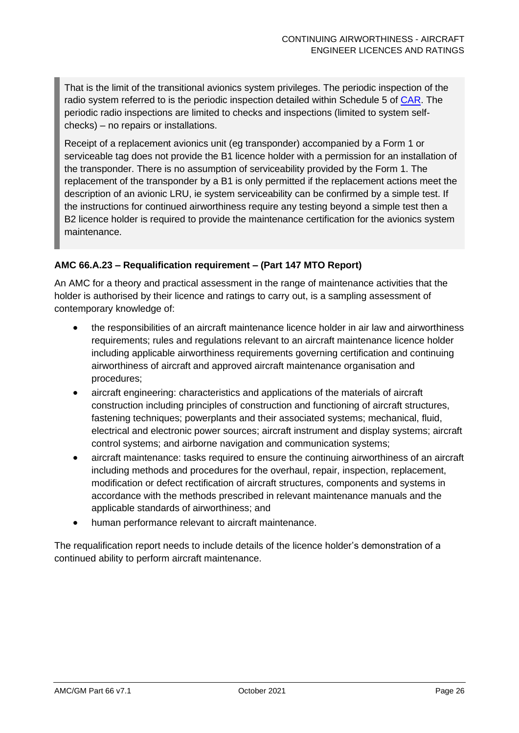That is the limit of the transitional avionics system privileges. The periodic inspection of the radio system referred to is the periodic inspection detailed within Schedule 5 of [CAR.](https://www.legislation.gov.au/Details/F2016C00719) The periodic radio inspections are limited to checks and inspections (limited to system selfchecks) – no repairs or installations.

Receipt of a replacement avionics unit (eg transponder) accompanied by a Form 1 or serviceable tag does not provide the B1 licence holder with a permission for an installation of the transponder. There is no assumption of serviceability provided by the Form 1. The replacement of the transponder by a B1 is only permitted if the replacement actions meet the description of an avionic LRU, ie system serviceability can be confirmed by a simple test. If the instructions for continued airworthiness require any testing beyond a simple test then a B2 licence holder is required to provide the maintenance certification for the avionics system maintenance.

#### **AMC 66.A.23 – Requalification requirement – (Part 147 MTO Report)**

An AMC for a theory and practical assessment in the range of maintenance activities that the holder is authorised by their licence and ratings to carry out, is a sampling assessment of contemporary knowledge of:

- the responsibilities of an aircraft maintenance licence holder in air law and airworthiness requirements; rules and regulations relevant to an aircraft maintenance licence holder including applicable airworthiness requirements governing certification and continuing airworthiness of aircraft and approved aircraft maintenance organisation and procedures;
- aircraft engineering: characteristics and applications of the materials of aircraft construction including principles of construction and functioning of aircraft structures, fastening techniques; powerplants and their associated systems; mechanical, fluid, electrical and electronic power sources; aircraft instrument and display systems; aircraft control systems; and airborne navigation and communication systems;
- aircraft maintenance: tasks required to ensure the continuing airworthiness of an aircraft including methods and procedures for the overhaul, repair, inspection, replacement, modification or defect rectification of aircraft structures, components and systems in accordance with the methods prescribed in relevant maintenance manuals and the applicable standards of airworthiness; and
- human performance relevant to aircraft maintenance.

The requalification report needs to include details of the licence holder's demonstration of a continued ability to perform aircraft maintenance.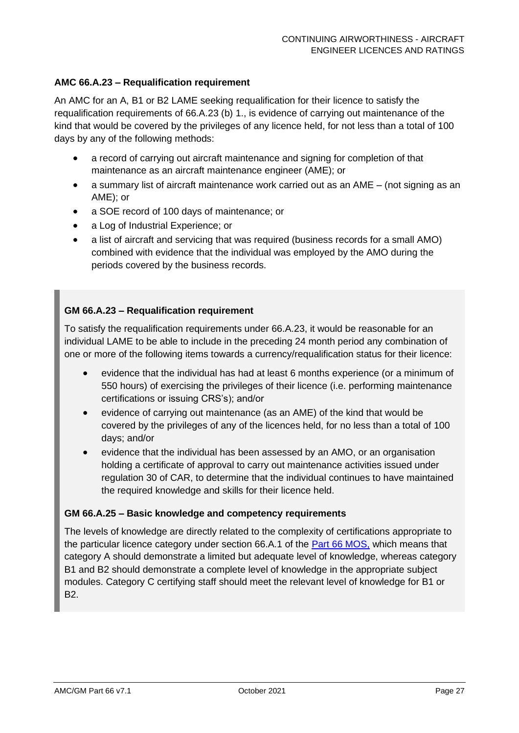#### **AMC 66.A.23 – Requalification requirement**

An AMC for an A, B1 or B2 LAME seeking requalification for their licence to satisfy the requalification requirements of 66.A.23 (b) 1., is evidence of carrying out maintenance of the kind that would be covered by the privileges of any licence held, for not less than a total of 100 days by any of the following methods:

- a record of carrying out aircraft maintenance and signing for completion of that maintenance as an aircraft maintenance engineer (AME); or
- a summary list of aircraft maintenance work carried out as an AME (not signing as an AME); or
- a SOE record of 100 days of maintenance; or
- a Log of Industrial Experience; or
- a list of aircraft and servicing that was required (business records for a small AMO) combined with evidence that the individual was employed by the AMO during the periods covered by the business records.

#### **GM 66.A.23 – Requalification requirement**

To satisfy the requalification requirements under 66.A.23, it would be reasonable for an individual LAME to be able to include in the preceding 24 month period any combination of one or more of the following items towards a currency/requalification status for their licence:

- evidence that the individual has had at least 6 months experience (or a minimum of 550 hours) of exercising the privileges of their licence (i.e. performing maintenance certifications or issuing CRS's); and/or
- evidence of carrying out maintenance (as an AME) of the kind that would be covered by the privileges of any of the licences held, for no less than a total of 100 days; and/or
- evidence that the individual has been assessed by an AMO, or an organisation holding a certificate of approval to carry out maintenance activities issued under regulation 30 of CAR, to determine that the individual continues to have maintained the required knowledge and skills for their licence held.

#### **GM 66.A.25 – Basic knowledge and competency requirements**

The levels of knowledge are directly related to the complexity of certifications appropriate to the particular licence category under section 66.A.1 of the [Part 66 MOS,](https://www.legislation.gov.au/Details/F2016C00461) which means that category A should demonstrate a limited but adequate level of knowledge, whereas category B1 and B2 should demonstrate a complete level of knowledge in the appropriate subject modules. Category C certifying staff should meet the relevant level of knowledge for B1 or B2.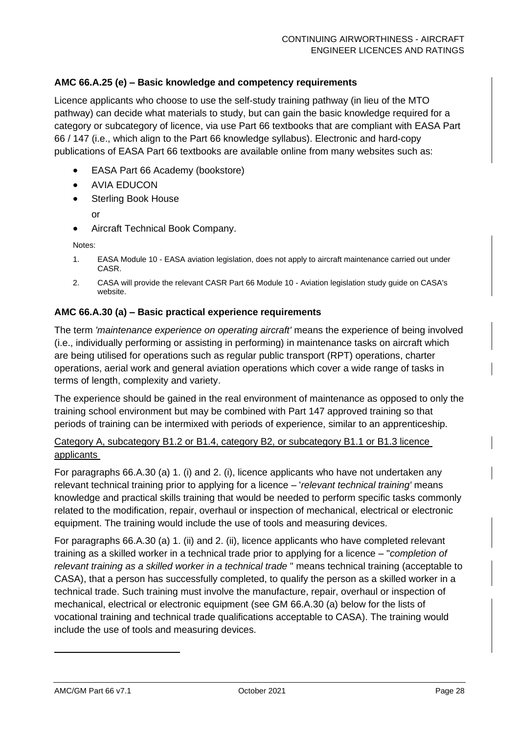#### **AMC 66.A.25 (e) – Basic knowledge and competency requirements**

Licence applicants who choose to use the self-study training pathway (in lieu of the MTO pathway) can decide what materials to study, but can gain the basic knowledge required for a category or subcategory of licence, via use Part 66 textbooks that are compliant with EASA Part 66 / 147 (i.e., which align to the Part 66 knowledge syllabus). Electronic and hard-copy publications of EASA Part 66 textbooks are available online from many websites such as:

- EASA Part 66 Academy (bookstore)
- AVIA EDUCON
- Sterling Book House
	- or
- Aircraft Technical Book Company.

Notes:

- 1. EASA Module 10 EASA aviation legislation, does not apply to aircraft maintenance carried out under CASR.
- 2. CASA will provide the relevant CASR Part 66 Module 10 Aviation legislation study guide on CASA's website.

#### **AMC 66.A.30 (a) – Basic practical experience requirements**

The term *'maintenance experience on operating aircraft'* means the experience of being involved (i.e., individually performing or assisting in performing) in maintenance tasks on aircraft which are being utilised for operations such as regular public transport (RPT) operations, charter operations, aerial work and general aviation operations which cover a wide range of tasks in terms of length, complexity and variety.

The experience should be gained in the real environment of maintenance as opposed to only the training school environment but may be combined with Part 147 approved training so that periods of training can be intermixed with periods of experience, similar to an apprenticeship.

#### Category A, subcategory B1.2 or B1.4, category B2, or subcategory B1.1 or B1.3 licence applicants

For paragraphs 66.A.30 (a) 1. (i) and 2. (i), licence applicants who have not undertaken any relevant technical training prior to applying for a licence – '*relevant technical training'* means knowledge and practical skills training that would be needed to perform specific tasks commonly related to the modification, repair, overhaul or inspection of mechanical, electrical or electronic equipment. The training would include the use of tools and measuring devices.

For paragraphs 66.A.30 (a) 1. (ii) and 2. (ii), licence applicants who have completed relevant training as a skilled worker in a technical trade prior to applying for a licence – "*completion of relevant training as a skilled worker in a technical trade* " means technical training (acceptable to CASA), that a person has successfully completed, to qualify the person as a skilled worker in a technical trade. Such training must involve the manufacture, repair, overhaul or inspection of mechanical, electrical or electronic equipment (see GM 66.A.30 (a) below for the lists of vocational training and technical trade qualifications acceptable to CASA). The training would include the use of tools and measuring devices.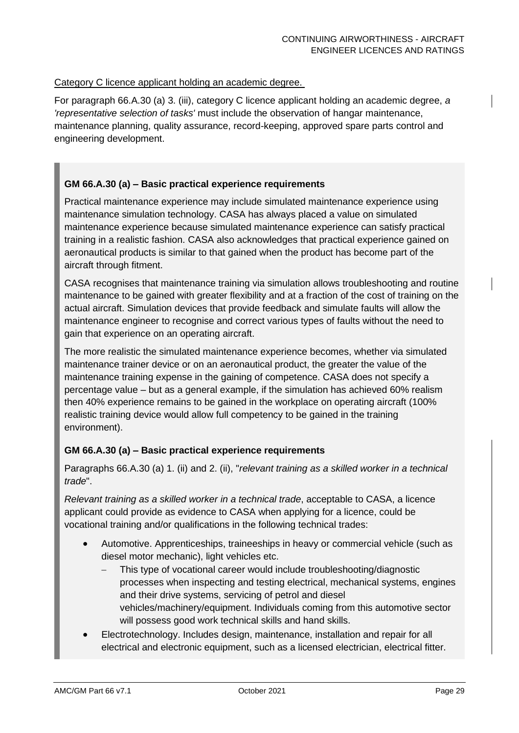#### Category C licence applicant holding an academic degree.

For paragraph 66.A.30 (a) 3. (iii), category C licence applicant holding an academic degree, *a 'representative selection of tasks'* must include the observation of hangar maintenance, maintenance planning, quality assurance, record-keeping, approved spare parts control and engineering development.

#### **GM 66.A.30 (a) – Basic practical experience requirements**

Practical maintenance experience may include simulated maintenance experience using maintenance simulation technology. CASA has always placed a value on simulated maintenance experience because simulated maintenance experience can satisfy practical training in a realistic fashion. CASA also acknowledges that practical experience gained on aeronautical products is similar to that gained when the product has become part of the aircraft through fitment.

CASA recognises that maintenance training via simulation allows troubleshooting and routine maintenance to be gained with greater flexibility and at a fraction of the cost of training on the actual aircraft. Simulation devices that provide feedback and simulate faults will allow the maintenance engineer to recognise and correct various types of faults without the need to gain that experience on an operating aircraft.

The more realistic the simulated maintenance experience becomes, whether via simulated maintenance trainer device or on an aeronautical product, the greater the value of the maintenance training expense in the gaining of competence. CASA does not specify a percentage value – but as a general example, if the simulation has achieved 60% realism then 40% experience remains to be gained in the workplace on operating aircraft (100% realistic training device would allow full competency to be gained in the training environment).

#### **GM 66.A.30 (a) – Basic practical experience requirements**

Paragraphs 66.A.30 (a) 1. (ii) and 2. (ii), "*relevant training as a skilled worker in a technical trade*".

*Relevant training as a skilled worker in a technical trade*, acceptable to CASA, a licence applicant could provide as evidence to CASA when applying for a licence, could be vocational training and/or qualifications in the following technical trades:

- Automotive. Apprenticeships, traineeships in heavy or commercial vehicle (such as diesel motor mechanic), light vehicles etc.
	- This type of vocational career would include troubleshooting/diagnostic processes when inspecting and testing electrical, mechanical systems, engines and their drive systems, servicing of petrol and diesel vehicles/machinery/equipment. Individuals coming from this automotive sector will possess good work technical skills and hand skills.
- Electrotechnology. Includes design, maintenance, installation and repair for all electrical and electronic equipment, such as a licensed electrician, electrical fitter.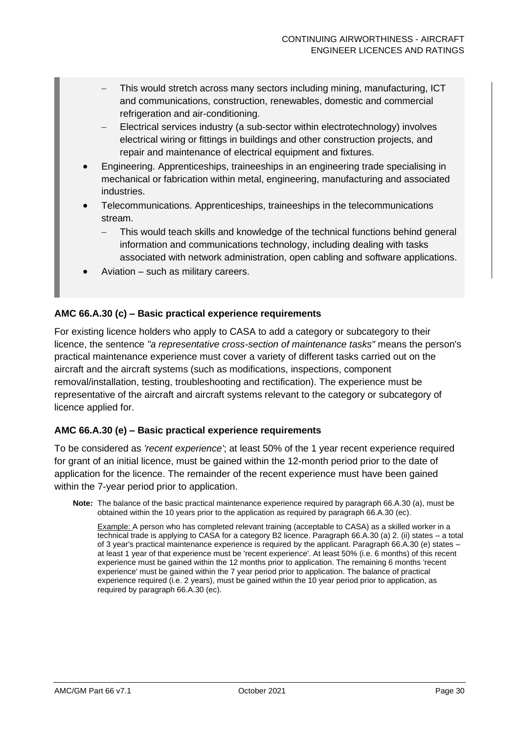- This would stretch across many sectors including mining, manufacturing, ICT and communications, construction, renewables, domestic and commercial refrigeration and air-conditioning.
- − Electrical services industry (a sub-sector within electrotechnology) involves electrical wiring or fittings in buildings and other construction projects, and repair and maintenance of electrical equipment and fixtures.
- Engineering. Apprenticeships, traineeships in an engineering trade specialising in mechanical or fabrication within metal, engineering, manufacturing and associated industries.
- Telecommunications. Apprenticeships, traineeships in the telecommunications stream.
	- This would teach skills and knowledge of the technical functions behind general information and communications technology, including dealing with tasks associated with network administration, open cabling and software applications.
- Aviation such as military careers.

#### **AMC 66.A.30 (c) – Basic practical experience requirements**

For existing licence holders who apply to CASA to add a category or subcategory to their licence, the sentence *"a representative cross-section of maintenance tasks"* means the person's practical maintenance experience must cover a variety of different tasks carried out on the aircraft and the aircraft systems (such as modifications, inspections, component removal/installation, testing, troubleshooting and rectification). The experience must be representative of the aircraft and aircraft systems relevant to the category or subcategory of licence applied for.

#### **AMC 66.A.30 (e) – Basic practical experience requirements**

To be considered as *'recent experience'*; at least 50% of the 1 year recent experience required for grant of an initial licence, must be gained within the 12-month period prior to the date of application for the licence. The remainder of the recent experience must have been gained within the 7-year period prior to application.

**Note:** The balance of the basic practical maintenance experience required by paragraph 66.A.30 (a), must be obtained within the 10 years prior to the application as required by paragraph 66.A.30 (ec).

Example: A person who has completed relevant training (acceptable to CASA) as a skilled worker in a technical trade is applying to CASA for a category B2 licence. Paragraph 66.A.30 (a) 2. (ii) states – a total of 3 year's practical maintenance experience is required by the applicant. Paragraph 66.A.30 (e) states – at least 1 year of that experience must be 'recent experience'. At least 50% (i.e. 6 months) of this recent experience must be gained within the 12 months prior to application. The remaining 6 months 'recent experience' must be gained within the 7 year period prior to application. The balance of practical experience required (i.e. 2 years), must be gained within the 10 year period prior to application, as required by paragraph 66.A.30 (ec).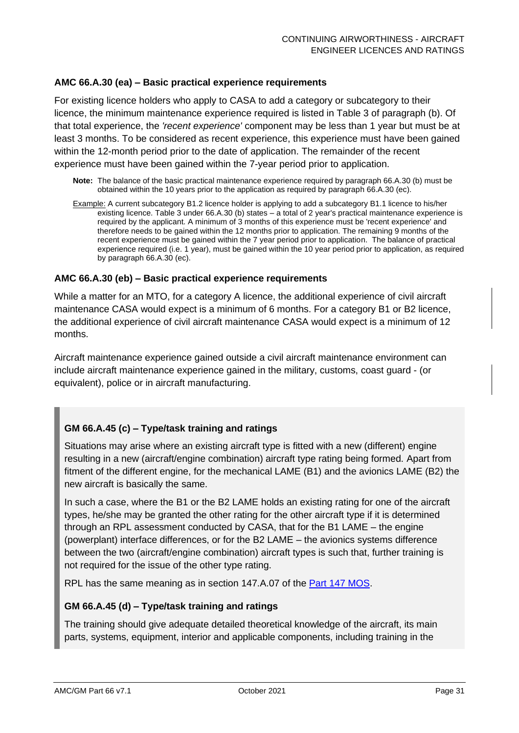#### **AMC 66.A.30 (ea) – Basic practical experience requirements**

For existing licence holders who apply to CASA to add a category or subcategory to their licence, the minimum maintenance experience required is listed in Table 3 of paragraph (b). Of that total experience, the *'recent experience'* component may be less than 1 year but must be at least 3 months. To be considered as recent experience, this experience must have been gained within the 12-month period prior to the date of application. The remainder of the recent experience must have been gained within the 7-year period prior to application.

- **Note:** The balance of the basic practical maintenance experience required by paragraph 66.A.30 (b) must be obtained within the 10 years prior to the application as required by paragraph 66.A.30 (ec).
- Example: A current subcategory B1.2 licence holder is applying to add a subcategory B1.1 licence to his/her existing licence. Table 3 under 66.A.30 (b) states – a total of 2 year's practical maintenance experience is required by the applicant. A minimum of 3 months of this experience must be 'recent experience' and therefore needs to be gained within the 12 months prior to application. The remaining 9 months of the recent experience must be gained within the 7 year period prior to application. The balance of practical experience required (i.e. 1 year), must be gained within the 10 year period prior to application, as required by paragraph 66.A.30 (ec).

#### **AMC 66.A.30 (eb) – Basic practical experience requirements**

While a matter for an MTO, for a category A licence, the additional experience of civil aircraft maintenance CASA would expect is a minimum of 6 months. For a category B1 or B2 licence, the additional experience of civil aircraft maintenance CASA would expect is a minimum of 12 months.

Aircraft maintenance experience gained outside a civil aircraft maintenance environment can include aircraft maintenance experience gained in the military, customs, coast guard - (or equivalent), police or in aircraft manufacturing.

#### **GM 66.A.45 (c) – Type/task training and ratings**

Situations may arise where an existing aircraft type is fitted with a new (different) engine resulting in a new (aircraft/engine combination) aircraft type rating being formed. Apart from fitment of the different engine, for the mechanical LAME (B1) and the avionics LAME (B2) the new aircraft is basically the same.

In such a case, where the B1 or the B2 LAME holds an existing rating for one of the aircraft types, he/she may be granted the other rating for the other aircraft type if it is determined through an RPL assessment conducted by CASA, that for the B1 LAME – the engine (powerplant) interface differences, or for the B2 LAME – the avionics systems difference between the two (aircraft/engine combination) aircraft types is such that, further training is not required for the issue of the other type rating.

RPL has the same meaning as in section 147.A.07 of the **Part 147 MOS.** 

#### **GM 66.A.45 (d) – Type/task training and ratings**

The training should give adequate detailed theoretical knowledge of the aircraft, its main parts, systems, equipment, interior and applicable components, including training in the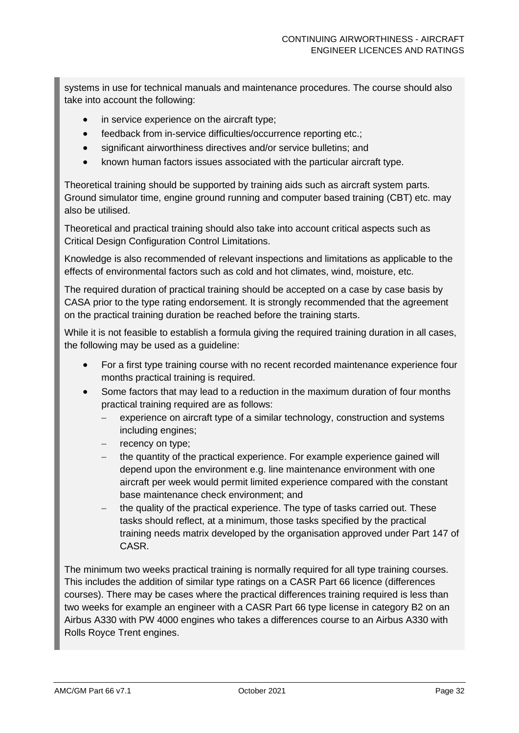systems in use for technical manuals and maintenance procedures. The course should also take into account the following:

- in service experience on the aircraft type;
- feedback from in-service difficulties/occurrence reporting etc.;
- significant airworthiness directives and/or service bulletins; and
- known human factors issues associated with the particular aircraft type.

Theoretical training should be supported by training aids such as aircraft system parts. Ground simulator time, engine ground running and computer based training (CBT) etc. may also be utilised.

Theoretical and practical training should also take into account critical aspects such as Critical Design Configuration Control Limitations.

Knowledge is also recommended of relevant inspections and limitations as applicable to the effects of environmental factors such as cold and hot climates, wind, moisture, etc.

The required duration of practical training should be accepted on a case by case basis by CASA prior to the type rating endorsement. It is strongly recommended that the agreement on the practical training duration be reached before the training starts.

While it is not feasible to establish a formula giving the required training duration in all cases, the following may be used as a guideline:

- For a first type training course with no recent recorded maintenance experience four months practical training is required.
- Some factors that may lead to a reduction in the maximum duration of four months practical training required are as follows:
	- experience on aircraft type of a similar technology, construction and systems including engines;
	- recency on type;
	- − the quantity of the practical experience. For example experience gained will depend upon the environment e.g. line maintenance environment with one aircraft per week would permit limited experience compared with the constant base maintenance check environment; and
	- the quality of the practical experience. The type of tasks carried out. These tasks should reflect, at a minimum, those tasks specified by the practical training needs matrix developed by the organisation approved under Part 147 of CASR.

The minimum two weeks practical training is normally required for all type training courses. This includes the addition of similar type ratings on a CASR Part 66 licence (differences courses). There may be cases where the practical differences training required is less than two weeks for example an engineer with a CASR Part 66 type license in category B2 on an Airbus A330 with PW 4000 engines who takes a differences course to an Airbus A330 with Rolls Royce Trent engines.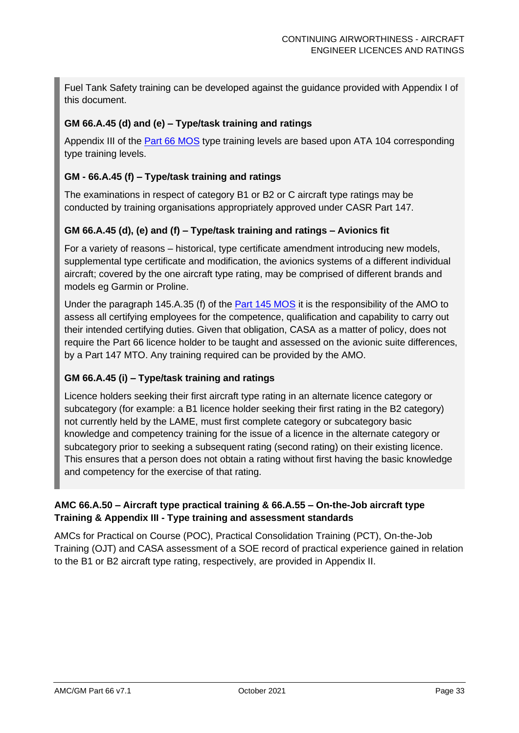Fuel Tank Safety training can be developed against the guidance provided with Appendix I of this document.

#### **GM 66.A.45 (d) and (e) – Type/task training and ratings**

Appendix III of the [Part 66 MOS](https://www.legislation.gov.au/Details/F2016C00461) type training levels are based upon ATA 104 corresponding type training levels.

#### **GM - 66.A.45 (f) – Type/task training and ratings**

The examinations in respect of category B1 or B2 or C aircraft type ratings may be conducted by training organisations appropriately approved under CASR Part 147.

#### **GM 66.A.45 (d), (e) and (f) – Type/task training and ratings – Avionics fit**

For a variety of reasons – historical, type certificate amendment introducing new models, supplemental type certificate and modification, the avionics systems of a different individual aircraft; covered by the one aircraft type rating, may be comprised of different brands and models eg Garmin or Proline.

Under the paragraph 145.A.35 (f) of the [Part 145 MOS](https://www.legislation.gov.au/Details/F2015C00263) it is the responsibility of the AMO to assess all certifying employees for the competence, qualification and capability to carry out their intended certifying duties. Given that obligation, CASA as a matter of policy, does not require the Part 66 licence holder to be taught and assessed on the avionic suite differences, by a Part 147 MTO. Any training required can be provided by the AMO.

#### **GM 66.A.45 (i) – Type/task training and ratings**

Licence holders seeking their first aircraft type rating in an alternate licence category or subcategory (for example: a B1 licence holder seeking their first rating in the B2 category) not currently held by the LAME, must first complete category or subcategory basic knowledge and competency training for the issue of a licence in the alternate category or subcategory prior to seeking a subsequent rating (second rating) on their existing licence. This ensures that a person does not obtain a rating without first having the basic knowledge and competency for the exercise of that rating.

#### **AMC 66.A.50 – Aircraft type practical training & 66.A.55 – On-the-Job aircraft type Training & Appendix III - Type training and assessment standards**

AMCs for Practical on Course (POC), Practical Consolidation Training (PCT), On-the-Job Training (OJT) and CASA assessment of a SOE record of practical experience gained in relation to the B1 or B2 aircraft type rating, respectively, are provided in Appendix II.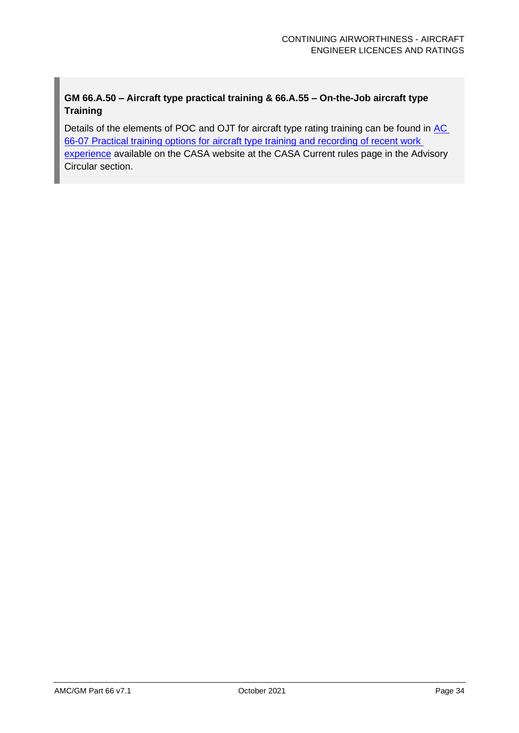### **GM 66.A.50 – Aircraft type practical training & 66.A.55 – On-the-Job aircraft type Training**

Details of the elements of POC and OJT for aircraft type rating training can be found in [AC](https://www.casa.gov.au/files/066c07pdf) [66-07 Practical training options for aircraft type training and recording of recent work](https://www.casa.gov.au/files/066c07pdf)  [experience](https://www.casa.gov.au/files/066c07pdf) available on the CASA website at the CASA Current rules page in the Advisory Circular section.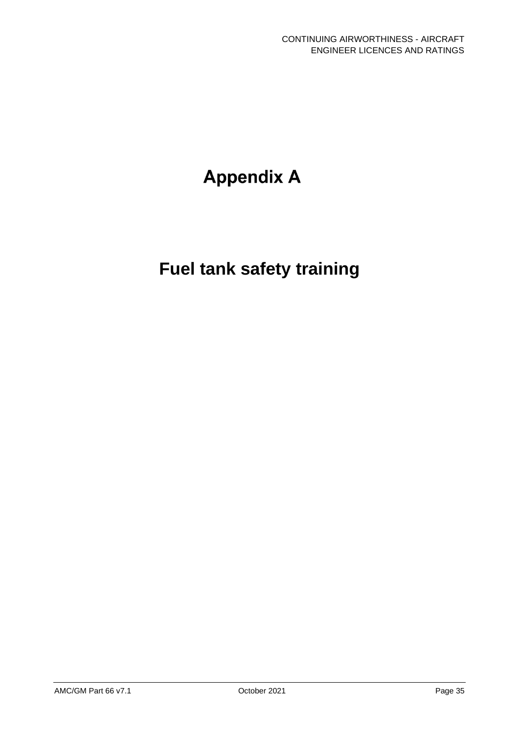# **Appendix A**

# **Fuel tank safety training**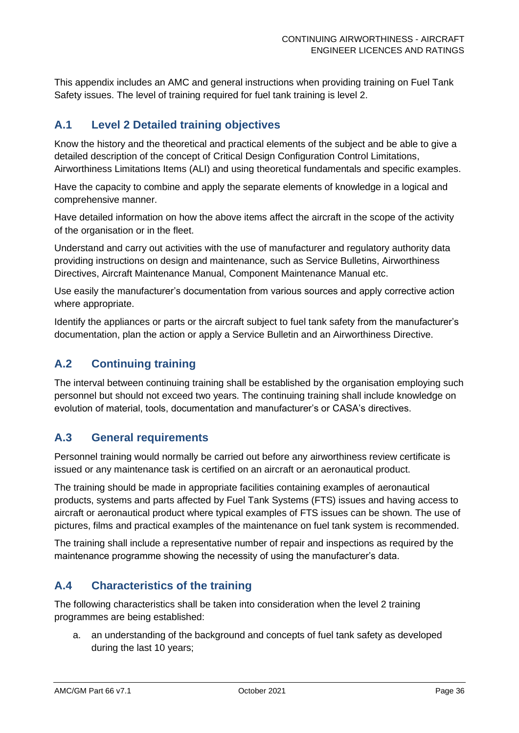This appendix includes an AMC and general instructions when providing training on Fuel Tank Safety issues. The level of training required for fuel tank training is level 2.

## **A.1 Level 2 Detailed training objectives**

Know the history and the theoretical and practical elements of the subject and be able to give a detailed description of the concept of Critical Design Configuration Control Limitations, Airworthiness Limitations Items (ALI) and using theoretical fundamentals and specific examples.

Have the capacity to combine and apply the separate elements of knowledge in a logical and comprehensive manner.

Have detailed information on how the above items affect the aircraft in the scope of the activity of the organisation or in the fleet.

Understand and carry out activities with the use of manufacturer and regulatory authority data providing instructions on design and maintenance, such as Service Bulletins, Airworthiness Directives, Aircraft Maintenance Manual, Component Maintenance Manual etc.

Use easily the manufacturer's documentation from various sources and apply corrective action where appropriate.

Identify the appliances or parts or the aircraft subject to fuel tank safety from the manufacturer's documentation, plan the action or apply a Service Bulletin and an Airworthiness Directive.

### **A.2 Continuing training**

The interval between continuing training shall be established by the organisation employing such personnel but should not exceed two years. The continuing training shall include knowledge on evolution of material, tools, documentation and manufacturer's or CASA's directives.

### **A.3 General requirements**

Personnel training would normally be carried out before any airworthiness review certificate is issued or any maintenance task is certified on an aircraft or an aeronautical product.

The training should be made in appropriate facilities containing examples of aeronautical products, systems and parts affected by Fuel Tank Systems (FTS) issues and having access to aircraft or aeronautical product where typical examples of FTS issues can be shown. The use of pictures, films and practical examples of the maintenance on fuel tank system is recommended.

The training shall include a representative number of repair and inspections as required by the maintenance programme showing the necessity of using the manufacturer's data.

## **A.4 Characteristics of the training**

The following characteristics shall be taken into consideration when the level 2 training programmes are being established:

a. an understanding of the background and concepts of fuel tank safety as developed during the last 10 years;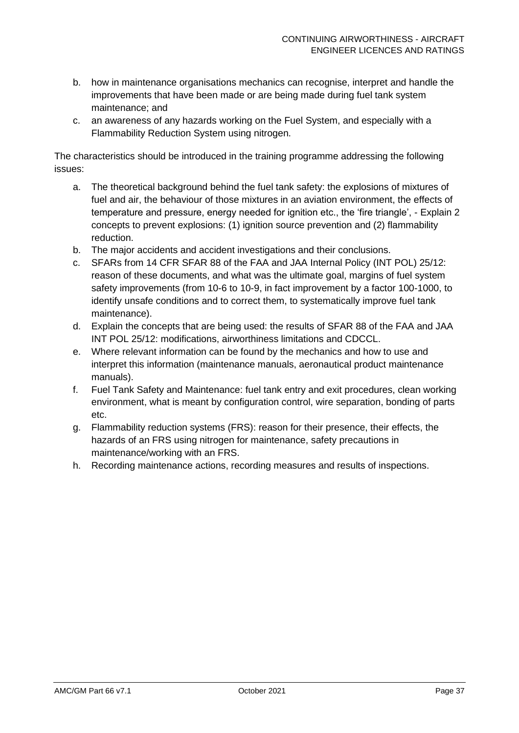- b. how in maintenance organisations mechanics can recognise, interpret and handle the improvements that have been made or are being made during fuel tank system maintenance; and
- c. an awareness of any hazards working on the Fuel System, and especially with a Flammability Reduction System using nitrogen.

The characteristics should be introduced in the training programme addressing the following issues:

- a. The theoretical background behind the fuel tank safety: the explosions of mixtures of fuel and air, the behaviour of those mixtures in an aviation environment, the effects of temperature and pressure, energy needed for ignition etc., the 'fire triangle', - Explain 2 concepts to prevent explosions: (1) ignition source prevention and (2) flammability reduction.
- b. The major accidents and accident investigations and their conclusions.
- c. SFARs from 14 CFR SFAR 88 of the FAA and JAA Internal Policy (INT POL) 25/12: reason of these documents, and what was the ultimate goal, margins of fuel system safety improvements (from 10-6 to 10-9, in fact improvement by a factor 100-1000, to identify unsafe conditions and to correct them, to systematically improve fuel tank maintenance).
- d. Explain the concepts that are being used: the results of SFAR 88 of the FAA and JAA INT POL 25/12: modifications, airworthiness limitations and CDCCL.
- e. Where relevant information can be found by the mechanics and how to use and interpret this information (maintenance manuals, aeronautical product maintenance manuals).
- f. Fuel Tank Safety and Maintenance: fuel tank entry and exit procedures, clean working environment, what is meant by configuration control, wire separation, bonding of parts etc.
- g. Flammability reduction systems (FRS): reason for their presence, their effects, the hazards of an FRS using nitrogen for maintenance, safety precautions in maintenance/working with an FRS.
- h. Recording maintenance actions, recording measures and results of inspections.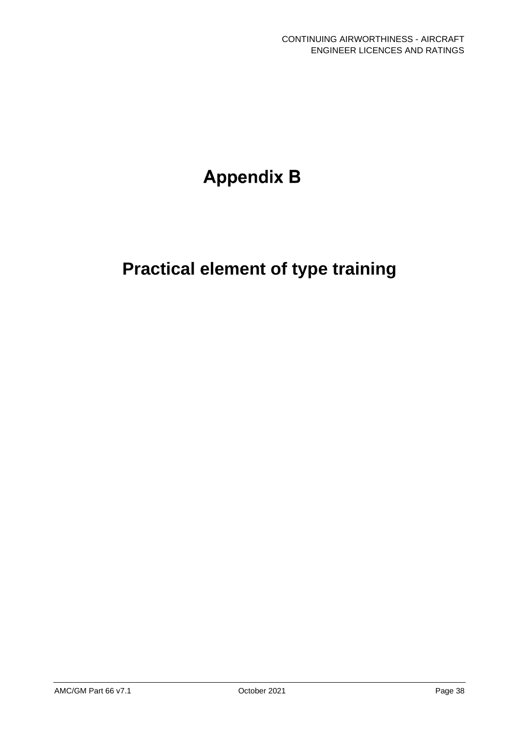# **Appendix B**

# **Practical element of type training**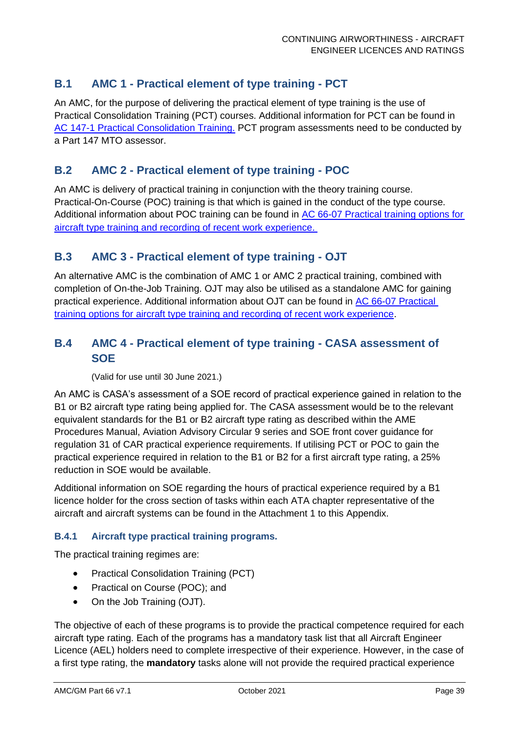## **B.1 AMC 1 - Practical element of type training - PCT**

An AMC, for the purpose of delivering the practical element of type training is the use of Practical Consolidation Training (PCT) courses. Additional information for PCT can be found in [AC 147-1 Practical Consolidation Training.](http://www.casa.gov.au/scripts/nc.dll?WCMS:STANDARD::pc=PC_100334) PCT program assessments need to be conducted by a Part 147 MTO assessor.

### **B.2 AMC 2 - Practical element of type training - POC**

An AMC is delivery of practical training in conjunction with the theory training course. Practical-On-Course (POC) training is that which is gained in the conduct of the type course. Additional information about POC training can be found in [AC 66-07 Practical training options for](https://www.casa.gov.au/files/066c07pdf)  [aircraft type training and recording of recent work experience.](https://www.casa.gov.au/files/066c07pdf) 

#### **B.3 AMC 3 - Practical element of type training - OJT**

An alternative AMC is the combination of AMC 1 or AMC 2 practical training, combined with completion of On-the-Job Training. OJT may also be utilised as a standalone AMC for gaining practical experience. Additional information about OJT can be found in [AC 66-07 Practical](https://www.casa.gov.au/files/066c07pdf)  [training options for aircraft type training and recording of recent work experience.](https://www.casa.gov.au/files/066c07pdf)

### **B.4 AMC 4 - Practical element of type training - CASA assessment of SOE**

(Valid for use until 30 June 2021.)

An AMC is CASA's assessment of a SOE record of practical experience gained in relation to the B1 or B2 aircraft type rating being applied for. The CASA assessment would be to the relevant equivalent standards for the B1 or B2 aircraft type rating as described within the AME Procedures Manual, Aviation Advisory Circular 9 series and SOE front cover guidance for regulation 31 of CAR practical experience requirements. If utilising PCT or POC to gain the practical experience required in relation to the B1 or B2 for a first aircraft type rating, a 25% reduction in SOE would be available.

Additional information on SOE regarding the hours of practical experience required by a B1 licence holder for the cross section of tasks within each ATA chapter representative of the aircraft and aircraft systems can be found in the Attachment 1 to this Appendix.

#### **B.4.1 Aircraft type practical training programs.**

The practical training regimes are:

- Practical Consolidation Training (PCT)
- Practical on Course (POC); and
- On the Job Training (OJT).

The objective of each of these programs is to provide the practical competence required for each aircraft type rating. Each of the programs has a mandatory task list that all Aircraft Engineer Licence (AEL) holders need to complete irrespective of their experience. However, in the case of a first type rating, the **mandatory** tasks alone will not provide the required practical experience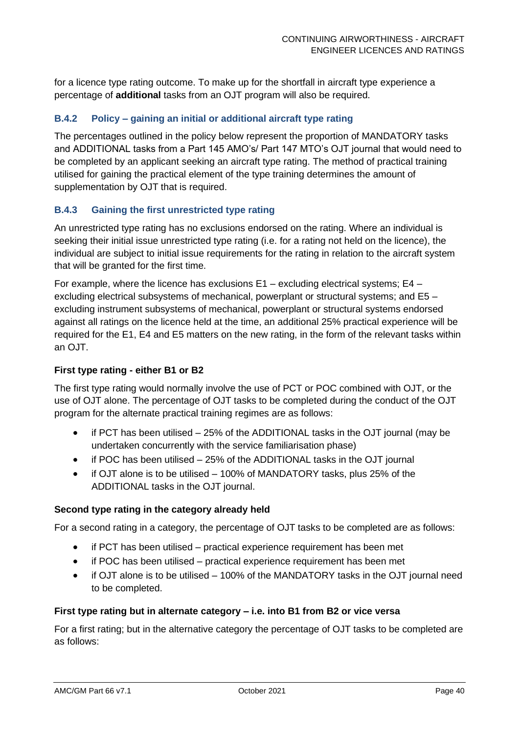for a licence type rating outcome. To make up for the shortfall in aircraft type experience a percentage of **additional** tasks from an OJT program will also be required.

#### **B.4.2 Policy – gaining an initial or additional aircraft type rating**

The percentages outlined in the policy below represent the proportion of MANDATORY tasks and ADDITIONAL tasks from a Part 145 AMO's/ Part 147 MTO's OJT journal that would need to be completed by an applicant seeking an aircraft type rating. The method of practical training utilised for gaining the practical element of the type training determines the amount of supplementation by OJT that is required.

#### **B.4.3 Gaining the first unrestricted type rating**

An unrestricted type rating has no exclusions endorsed on the rating. Where an individual is seeking their initial issue unrestricted type rating (i.e. for a rating not held on the licence), the individual are subject to initial issue requirements for the rating in relation to the aircraft system that will be granted for the first time.

For example, where the licence has exclusions E1 – excluding electrical systems; E4 – excluding electrical subsystems of mechanical, powerplant or structural systems; and E5 – excluding instrument subsystems of mechanical, powerplant or structural systems endorsed against all ratings on the licence held at the time, an additional 25% practical experience will be required for the E1, E4 and E5 matters on the new rating, in the form of the relevant tasks within an OJT.

#### **First type rating - either B1 or B2**

The first type rating would normally involve the use of PCT or POC combined with OJT, or the use of OJT alone. The percentage of OJT tasks to be completed during the conduct of the OJT program for the alternate practical training regimes are as follows:

- if PCT has been utilised 25% of the ADDITIONAL tasks in the OJT journal (may be undertaken concurrently with the service familiarisation phase)
- if POC has been utilised 25% of the ADDITIONAL tasks in the OJT journal
- if OJT alone is to be utilised 100% of MANDATORY tasks, plus 25% of the ADDITIONAL tasks in the OJT journal.

#### **Second type rating in the category already held**

For a second rating in a category, the percentage of OJT tasks to be completed are as follows:

- if PCT has been utilised practical experience requirement has been met
- if POC has been utilised practical experience requirement has been met
- if OJT alone is to be utilised 100% of the MANDATORY tasks in the OJT journal need to be completed.

#### **First type rating but in alternate category – i.e. into B1 from B2 or vice versa**

For a first rating; but in the alternative category the percentage of OJT tasks to be completed are as follows: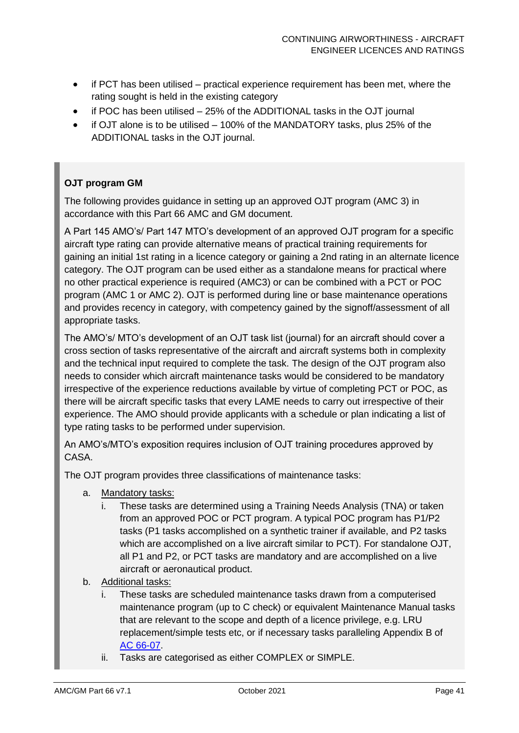- if PCT has been utilised practical experience requirement has been met, where the rating sought is held in the existing category
- if POC has been utilised 25% of the ADDITIONAL tasks in the OJT journal
- if OJT alone is to be utilised 100% of the MANDATORY tasks, plus 25% of the ADDITIONAL tasks in the OJT journal.

#### **OJT program GM**

The following provides guidance in setting up an approved OJT program (AMC 3) in accordance with this Part 66 AMC and GM document.

A Part 145 AMO's/ Part 147 MTO's development of an approved OJT program for a specific aircraft type rating can provide alternative means of practical training requirements for gaining an initial 1st rating in a licence category or gaining a 2nd rating in an alternate licence category. The OJT program can be used either as a standalone means for practical where no other practical experience is required (AMC3) or can be combined with a PCT or POC program (AMC 1 or AMC 2). OJT is performed during line or base maintenance operations and provides recency in category, with competency gained by the signoff/assessment of all appropriate tasks.

The AMO's/ MTO's development of an OJT task list (journal) for an aircraft should cover a cross section of tasks representative of the aircraft and aircraft systems both in complexity and the technical input required to complete the task. The design of the OJT program also needs to consider which aircraft maintenance tasks would be considered to be mandatory irrespective of the experience reductions available by virtue of completing PCT or POC, as there will be aircraft specific tasks that every LAME needs to carry out irrespective of their experience. The AMO should provide applicants with a schedule or plan indicating a list of type rating tasks to be performed under supervision.

An AMO's/MTO's exposition requires inclusion of OJT training procedures approved by CASA.

The OJT program provides three classifications of maintenance tasks:

- a. Mandatory tasks:
	- These tasks are determined using a Training Needs Analysis (TNA) or taken from an approved POC or PCT program. A typical POC program has P1/P2 tasks (P1 tasks accomplished on a synthetic trainer if available, and P2 tasks which are accomplished on a live aircraft similar to PCT). For standalone OJT, all P1 and P2, or PCT tasks are mandatory and are accomplished on a live aircraft or aeronautical product.
- b. Additional tasks:
	- These tasks are scheduled maintenance tasks drawn from a computerised maintenance program (up to C check) or equivalent Maintenance Manual tasks that are relevant to the scope and depth of a licence privilege, e.g. LRU replacement/simple tests etc, or if necessary tasks paralleling Appendix B of AC [66-07.](https://www.casa.gov.au/files/066c07pdf)
	- ii. Tasks are categorised as either COMPLEX or SIMPLE.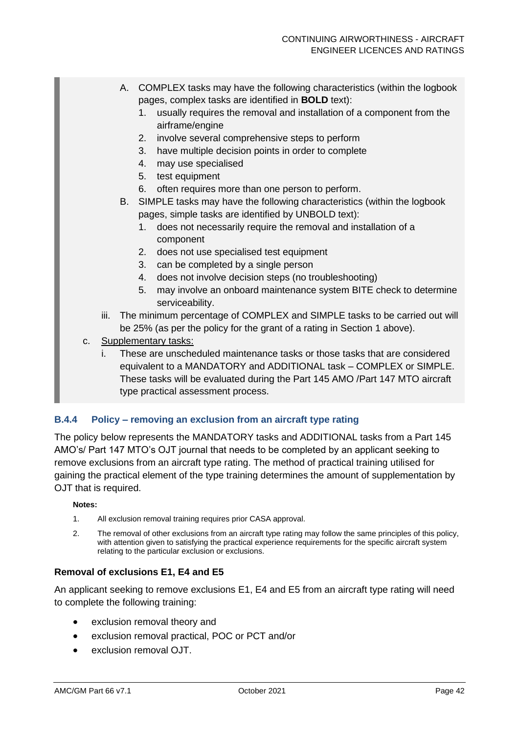- A. COMPLEX tasks may have the following characteristics (within the logbook pages, complex tasks are identified in **BOLD** text):
	- 1. usually requires the removal and installation of a component from the airframe/engine
	- 2. involve several comprehensive steps to perform
	- 3. have multiple decision points in order to complete
	- 4. may use specialised
	- 5. test equipment
	- 6. often requires more than one person to perform.
- B. SIMPLE tasks may have the following characteristics (within the logbook pages, simple tasks are identified by UNBOLD text):
	- 1. does not necessarily require the removal and installation of a component
	- 2. does not use specialised test equipment
	- 3. can be completed by a single person
	- 4. does not involve decision steps (no troubleshooting)
	- 5. may involve an onboard maintenance system BITE check to determine serviceability.
- iii. The minimum percentage of COMPLEX and SIMPLE tasks to be carried out will be 25% (as per the policy for the grant of a rating in Section 1 above).
- c. Supplementary tasks:
	- i. These are unscheduled maintenance tasks or those tasks that are considered equivalent to a MANDATORY and ADDITIONAL task – COMPLEX or SIMPLE. These tasks will be evaluated during the Part 145 AMO /Part 147 MTO aircraft type practical assessment process.

#### **B.4.4 Policy – removing an exclusion from an aircraft type rating**

The policy below represents the MANDATORY tasks and ADDITIONAL tasks from a Part 145 AMO's/ Part 147 MTO's OJT journal that needs to be completed by an applicant seeking to remove exclusions from an aircraft type rating. The method of practical training utilised for gaining the practical element of the type training determines the amount of supplementation by OJT that is required.

#### **Notes:**

- 1. All exclusion removal training requires prior CASA approval.
- 2. The removal of other exclusions from an aircraft type rating may follow the same principles of this policy, with attention given to satisfying the practical experience requirements for the specific aircraft system relating to the particular exclusion or exclusions.

#### **Removal of exclusions E1, E4 and E5**

An applicant seeking to remove exclusions E1, E4 and E5 from an aircraft type rating will need to complete the following training:

- exclusion removal theory and
- exclusion removal practical, POC or PCT and/or
- exclusion removal OJT.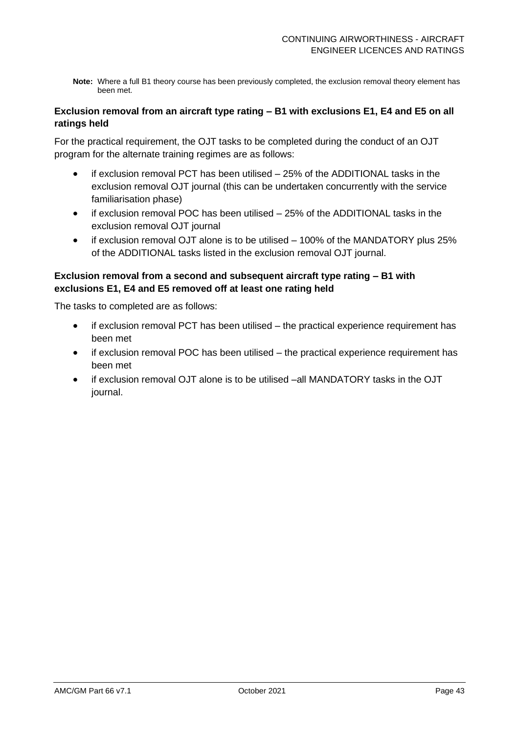**Note:** Where a full B1 theory course has been previously completed, the exclusion removal theory element has been met.

#### **Exclusion removal from an aircraft type rating – B1 with exclusions E1, E4 and E5 on all ratings held**

For the practical requirement, the OJT tasks to be completed during the conduct of an OJT program for the alternate training regimes are as follows:

- if exclusion removal PCT has been utilised 25% of the ADDITIONAL tasks in the exclusion removal OJT journal (this can be undertaken concurrently with the service familiarisation phase)
- if exclusion removal POC has been utilised 25% of the ADDITIONAL tasks in the exclusion removal OJT journal
- if exclusion removal OJT alone is to be utilised 100% of the MANDATORY plus 25% of the ADDITIONAL tasks listed in the exclusion removal OJT journal.

#### **Exclusion removal from a second and subsequent aircraft type rating – B1 with exclusions E1, E4 and E5 removed off at least one rating held**

The tasks to completed are as follows:

- $i$ f exclusion removal PCT has been utilised  $-$  the practical experience requirement has been met
- if exclusion removal POC has been utilised the practical experience requirement has been met
- if exclusion removal OJT alone is to be utilised –all MANDATORY tasks in the OJT journal.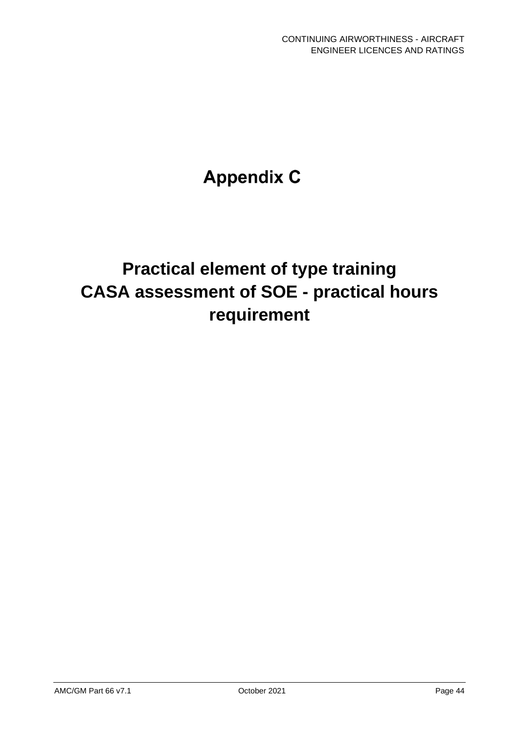# **Appendix C**

# **Practical element of type training CASA assessment of SOE - practical hours requirement**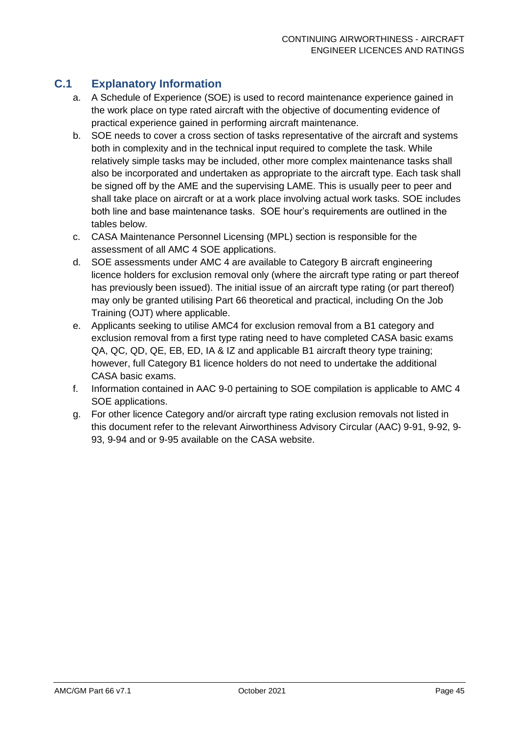## **C.1 Explanatory Information**

- a. A Schedule of Experience (SOE) is used to record maintenance experience gained in the work place on type rated aircraft with the objective of documenting evidence of practical experience gained in performing aircraft maintenance.
- b. SOE needs to cover a cross section of tasks representative of the aircraft and systems both in complexity and in the technical input required to complete the task. While relatively simple tasks may be included, other more complex maintenance tasks shall also be incorporated and undertaken as appropriate to the aircraft type. Each task shall be signed off by the AME and the supervising LAME. This is usually peer to peer and shall take place on aircraft or at a work place involving actual work tasks. SOE includes both line and base maintenance tasks. SOE hour's requirements are outlined in the tables below.
- c. CASA Maintenance Personnel Licensing (MPL) section is responsible for the assessment of all AMC 4 SOE applications.
- d. SOE assessments under AMC 4 are available to Category B aircraft engineering licence holders for exclusion removal only (where the aircraft type rating or part thereof has previously been issued). The initial issue of an aircraft type rating (or part thereof) may only be granted utilising Part 66 theoretical and practical, including On the Job Training (OJT) where applicable.
- e. Applicants seeking to utilise AMC4 for exclusion removal from a B1 category and exclusion removal from a first type rating need to have completed CASA basic exams QA, QC, QD, QE, EB, ED, IA & IZ and applicable B1 aircraft theory type training; however, full Category B1 licence holders do not need to undertake the additional CASA basic exams.
- f. Information contained in AAC 9-0 pertaining to SOE compilation is applicable to AMC 4 SOE applications.
- g. For other licence Category and/or aircraft type rating exclusion removals not listed in this document refer to the relevant Airworthiness Advisory Circular (AAC) 9-91, 9-92, 9- 93, 9-94 and or 9-95 available on the [CASA website.](https://www.casa.gov.au/aircraft/standard-page/airworthiness-advisory-circulars#part9)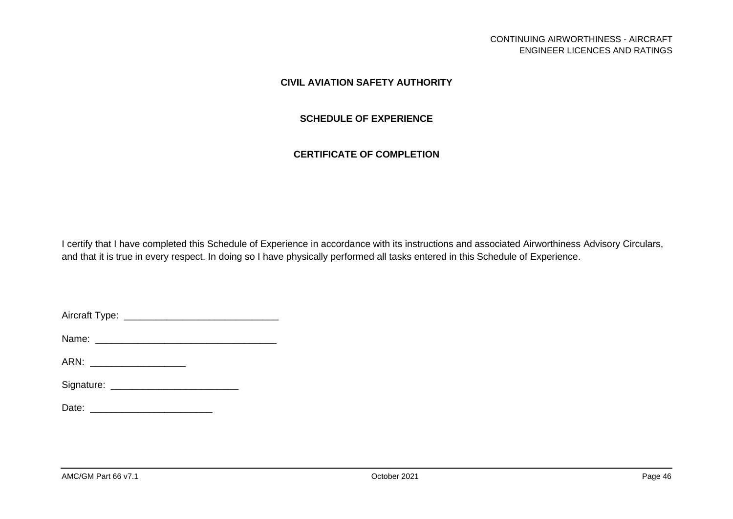#### **CIVIL AVIATION SAFETY AUTHORITY**

#### **SCHEDULE OF EXPERIENCE**

#### **CERTIFICATE OF COMPLETION**

I certify that I have completed this Schedule of Experience in accordance with its instructions and associated Airworthiness Advisory Circulars, and that it is true in every respect. In doing so I have physically performed all tasks entered in this Schedule of Experience.

Aircraft Type: \_\_\_\_\_\_\_\_\_\_\_\_\_\_\_\_\_\_\_\_\_\_\_\_\_\_\_\_\_

Name: \_\_\_\_\_\_\_\_\_\_\_\_\_\_\_\_\_\_\_\_\_\_\_\_\_\_\_\_\_\_\_\_\_\_

ARN: \_\_\_\_\_\_\_\_\_\_\_\_\_\_\_\_\_\_\_\_\_\_\_\_\_

| Signature: |  |
|------------|--|
|------------|--|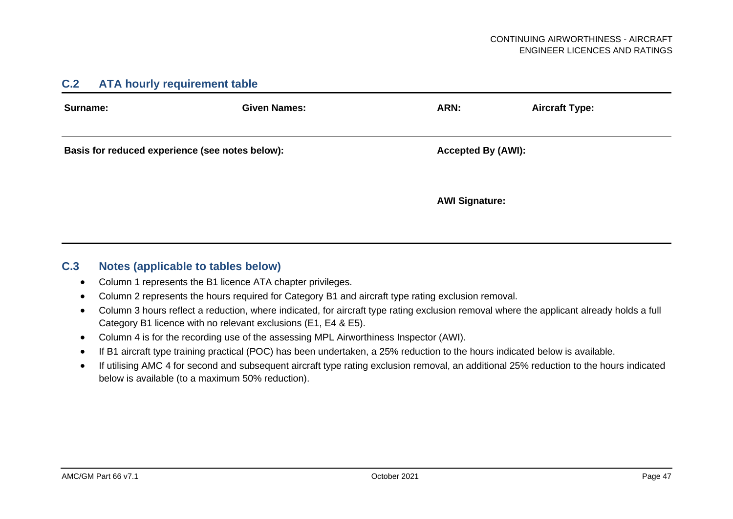#### **C.2 ATA hourly requirement table**

| Surname:                                        | <b>Given Names:</b> | ARN:                      | <b>Aircraft Type:</b> |
|-------------------------------------------------|---------------------|---------------------------|-----------------------|
| Basis for reduced experience (see notes below): |                     | <b>Accepted By (AWI):</b> |                       |
|                                                 |                     | <b>AWI Signature:</b>     |                       |

#### **C.3 Notes (applicable to tables below)**

- Column 1 represents the B1 licence ATA chapter privileges.
- Column 2 represents the hours required for Category B1 and aircraft type rating exclusion removal.
- Column 3 hours reflect a reduction, where indicated, for aircraft type rating exclusion removal where the applicant already holds a full Category B1 licence with no relevant exclusions (E1, E4 & E5).
- Column 4 is for the recording use of the assessing MPL Airworthiness Inspector (AWI).
- If B1 aircraft type training practical (POC) has been undertaken, a 25% reduction to the hours indicated below is available.
- If utilising AMC 4 for second and subsequent aircraft type rating exclusion removal, an additional 25% reduction to the hours indicated below is available (to a maximum 50% reduction).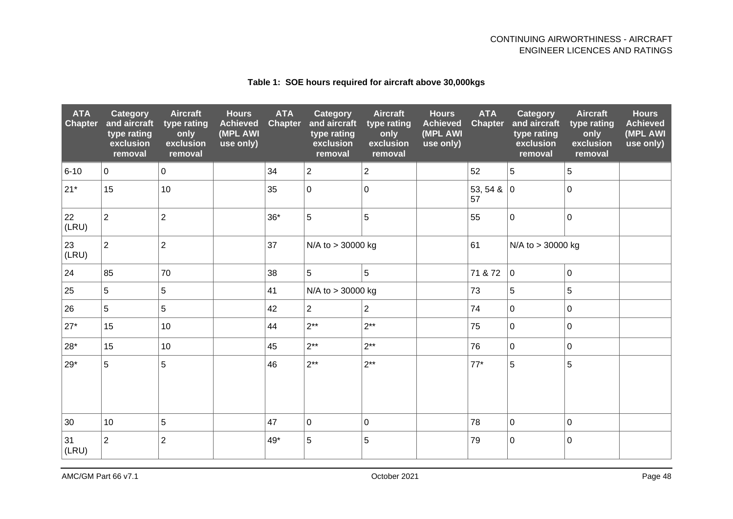| <b>ATA</b><br><b>Chapter</b> | <b>Category</b><br>and aircraft<br>type rating<br>exclusion<br>removal | <b>Aircraft</b><br>type rating<br>only<br>exclusion<br>removal | <b>Hours</b><br><b>Achieved</b><br>(MPL AWI<br>use only) | <b>ATA</b><br><b>Chapter</b> | Category<br>and aircraft<br>type rating<br>exclusion<br>removal | <b>Aircraft</b><br>type rating<br>only<br>exclusion<br>removal | <b>Hours</b><br><b>Achieved</b><br>(MPL AWI<br>use only) | <b>ATA</b><br><b>Chapter</b> | Category<br>and aircraft<br>type rating<br>exclusion<br>removal | <b>Aircraft</b><br>type rating<br>only<br>exclusion<br>removal | <b>Hours</b><br><b>Achieved</b><br>(MPL AWI<br>use only) |
|------------------------------|------------------------------------------------------------------------|----------------------------------------------------------------|----------------------------------------------------------|------------------------------|-----------------------------------------------------------------|----------------------------------------------------------------|----------------------------------------------------------|------------------------------|-----------------------------------------------------------------|----------------------------------------------------------------|----------------------------------------------------------|
| $6 - 10$                     | $\overline{0}$                                                         | $\mathbf 0$                                                    |                                                          | 34                           | $\overline{2}$                                                  | $\overline{2}$                                                 |                                                          | 52                           | 5                                                               | 5                                                              |                                                          |
| $21*$                        | 15                                                                     | 10                                                             |                                                          | 35                           | $\mathbf 0$                                                     | $\mathbf 0$                                                    |                                                          | 53, 54 &<br>57               | 0                                                               | $\mathbf 0$                                                    |                                                          |
| 22<br>(LRU)                  | $\overline{2}$                                                         | $\overline{2}$                                                 |                                                          | $36*$                        | 5                                                               | 5                                                              |                                                          | 55                           | $\mathbf 0$                                                     | $\mathbf 0$                                                    |                                                          |
| 23<br>(LRU)                  | $\overline{2}$                                                         | $\overline{c}$                                                 |                                                          | 37                           | N/A to > 30000 kg<br>61                                         |                                                                |                                                          | N/A to > 30000 kg            |                                                                 |                                                                |                                                          |
| 24                           | 85                                                                     | 70                                                             |                                                          | 38                           | 5                                                               | 5                                                              |                                                          | 71 & 72                      | $\mathbf 0$                                                     | $\mathbf 0$                                                    |                                                          |
| 25                           | 5                                                                      | 5                                                              |                                                          | 41                           | N/A to > 30000 kg                                               |                                                                |                                                          | 73                           | 5                                                               | 5                                                              |                                                          |
| 26                           | 5                                                                      | 5                                                              |                                                          | 42                           | $\overline{2}$                                                  | $\overline{2}$                                                 |                                                          | 74                           | 0 l                                                             | $\mathbf 0$                                                    |                                                          |
| $27*$                        | 15                                                                     | 10                                                             |                                                          | 44                           | $2***$                                                          | $2***$                                                         |                                                          | 75                           | $\mathbf 0$                                                     | $\mathbf 0$                                                    |                                                          |
| $28*$                        | 15                                                                     | 10                                                             |                                                          | 45                           | $2***$                                                          | $2**$                                                          |                                                          | 76                           | l 0                                                             | $\mathbf 0$                                                    |                                                          |
| $29*$                        | 5                                                                      | 5                                                              |                                                          | 46                           | $2***$                                                          | $2**$                                                          |                                                          | $77*$                        | 5                                                               | 5                                                              |                                                          |
| 30                           | 10                                                                     | 5                                                              |                                                          | 47                           | $\mathbf 0$                                                     | $\mathbf 0$                                                    |                                                          | 78                           | $\mathbf 0$                                                     | $\mathbf 0$                                                    |                                                          |
| 31<br>(LRU)                  | $\overline{2}$                                                         | $\overline{2}$                                                 |                                                          | 49*                          | 5                                                               | 5                                                              |                                                          | 79                           | $\mathbf 0$                                                     | $\mathbf 0$                                                    |                                                          |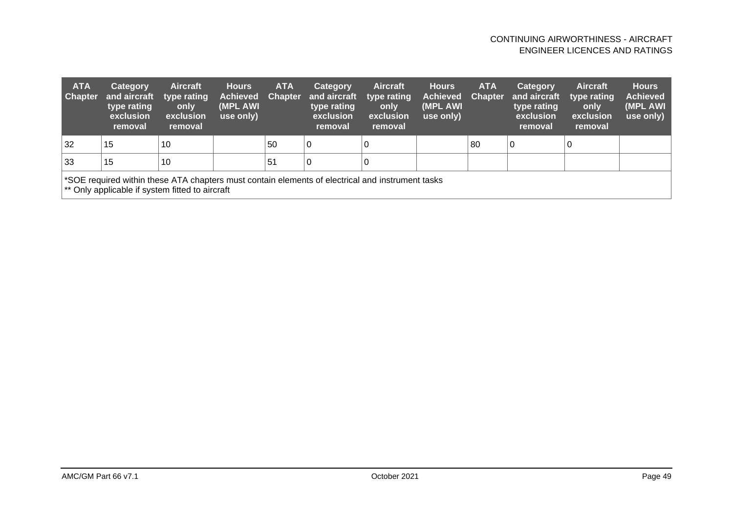| <b>ATA</b><br><b>Chapter</b>                                                                                                                        | Category<br>and aircraft<br>type rating<br>exclusion<br>removal | <b>Aircraft</b><br>type rating<br>only<br>exclusion<br>removal | <b>Hours</b><br><b>Achieved</b><br>(MPL AWI)<br>use only) | <b>ATA</b><br><b>Chapter</b> | Category<br>and aircraft<br>type rating<br>exclusion<br>removal | <b>Aircraft</b><br>type rating<br>only<br>exclusion<br>removal | <b>Hours</b><br>Achieved<br>(MPL AWI)<br>use only) | <b>ATA</b><br><b>Chapter</b> | <b>Category</b><br>and aircraft<br>type rating<br>exclusion<br>removal | <b>Aircraft</b><br>type rating<br>only<br>exclusion<br>removal | <b>Hours</b><br><b>Achieved</b><br>(MPL AWI<br>use only) |
|-----------------------------------------------------------------------------------------------------------------------------------------------------|-----------------------------------------------------------------|----------------------------------------------------------------|-----------------------------------------------------------|------------------------------|-----------------------------------------------------------------|----------------------------------------------------------------|----------------------------------------------------|------------------------------|------------------------------------------------------------------------|----------------------------------------------------------------|----------------------------------------------------------|
| 32                                                                                                                                                  | 15                                                              | 10                                                             |                                                           | 50                           | l 0                                                             |                                                                |                                                    | 80                           |                                                                        |                                                                |                                                          |
| 33                                                                                                                                                  | 15                                                              | 10                                                             |                                                           | 51                           | l 0                                                             |                                                                |                                                    |                              |                                                                        |                                                                |                                                          |
| *SOE required within these ATA chapters must contain elements of electrical and instrument tasks<br>** Only applicable if system fitted to aircraft |                                                                 |                                                                |                                                           |                              |                                                                 |                                                                |                                                    |                              |                                                                        |                                                                |                                                          |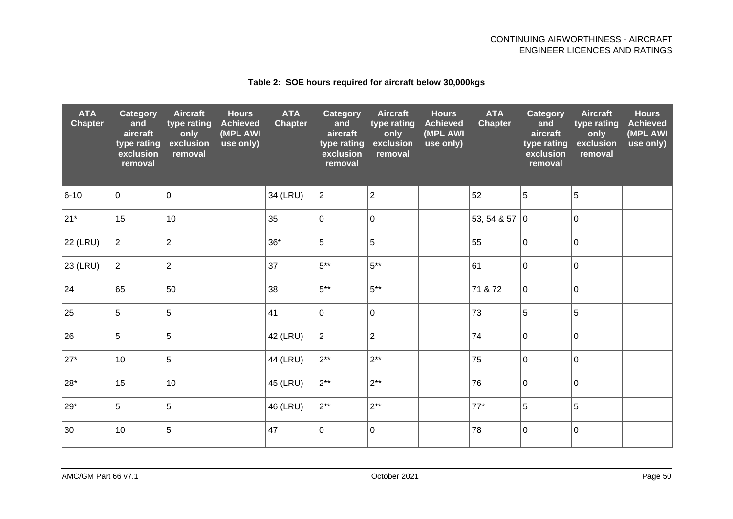#### **Table 2: SOE hours required for aircraft below 30,000kgs**

| <b>ATA</b><br><b>Chapter</b> | Category<br>and<br>aircraft<br>type rating<br>exclusion<br>removal | <b>Aircraft</b><br>type rating<br>only<br>exclusion<br>removal | <b>Hours</b><br><b>Achieved</b><br>(MPL AWI<br>use only) | <b>ATA</b><br><b>Chapter</b> | <b>Category</b><br>and<br>aircraft<br>type rating<br>exclusion<br>removal | <b>Aircraft</b><br>type rating<br>only<br>exclusion<br>removal | <b>Hours</b><br><b>Achieved</b><br>(MPL AWI<br>use only) | <b>ATA</b><br><b>Chapter</b> | Category<br>and<br>aircraft<br>type rating<br>exclusion<br>removal | <b>Aircraft</b><br>type rating<br>only<br>exclusion<br>removal | <b>Hours</b><br><b>Achieved</b><br>(MPL AWI<br>use only) |
|------------------------------|--------------------------------------------------------------------|----------------------------------------------------------------|----------------------------------------------------------|------------------------------|---------------------------------------------------------------------------|----------------------------------------------------------------|----------------------------------------------------------|------------------------------|--------------------------------------------------------------------|----------------------------------------------------------------|----------------------------------------------------------|
| $6 - 10$                     | $\mathsf{O}\xspace$                                                | $\pmb{0}$                                                      |                                                          | 34 (LRU)                     | $\overline{2}$                                                            | $\overline{2}$                                                 |                                                          | 52                           | 5                                                                  | 5                                                              |                                                          |
| $21*$                        | 15                                                                 | 10                                                             |                                                          | 35                           | $\mathbf 0$                                                               | 0                                                              |                                                          | 53, 54 & 57                  | 0                                                                  | $\mathbf 0$                                                    |                                                          |
| 22 (LRU)                     | $\overline{2}$                                                     | $\overline{2}$                                                 |                                                          | $36*$                        | $\overline{5}$                                                            | 5                                                              |                                                          | 55                           | $\mathbf 0$                                                        | $\mathbf 0$                                                    |                                                          |
| 23 (LRU)                     | $\overline{2}$                                                     | $\overline{2}$                                                 |                                                          | 37                           | $5***$                                                                    | $5***$                                                         |                                                          | 61                           | $\overline{0}$                                                     | $\mathbf{0}$                                                   |                                                          |
| 24                           | 65                                                                 | 50                                                             |                                                          | 38                           | $5***$                                                                    | $5***$                                                         |                                                          | 71 & 72                      | $\mathbf 0$                                                        | $\mathbf 0$                                                    |                                                          |
| 25                           | 5                                                                  | 5                                                              |                                                          | 41                           | $\mathbf 0$                                                               | 0                                                              |                                                          | 73                           | $\overline{5}$                                                     | 5                                                              |                                                          |
| 26                           | 5                                                                  | 5                                                              |                                                          | 42 (LRU)                     | $\overline{c}$                                                            | 2                                                              |                                                          | 74                           | $\mathbf 0$                                                        | $\mathbf 0$                                                    |                                                          |
| $27*$                        | 10                                                                 | 5                                                              |                                                          | 44 (LRU)                     | $2**$                                                                     | $2**$                                                          |                                                          | 75                           | $\mathbf 0$                                                        | $\mathbf 0$                                                    |                                                          |
| $28*$                        | 15                                                                 | 10                                                             |                                                          | 45 (LRU)                     | $2***$                                                                    | $2**$                                                          |                                                          | 76                           | $\mathbf 0$                                                        | $\overline{0}$                                                 |                                                          |
| $29*$                        | 5                                                                  | 5                                                              |                                                          | 46 (LRU)                     | $2**$                                                                     | $2***$                                                         |                                                          | $77*$                        | 5                                                                  | 5                                                              |                                                          |
| 30                           | 10                                                                 | 5                                                              |                                                          | 47                           | $\mathbf 0$                                                               | 0                                                              |                                                          | 78                           | $\pmb{0}$                                                          | $\mathbf 0$                                                    |                                                          |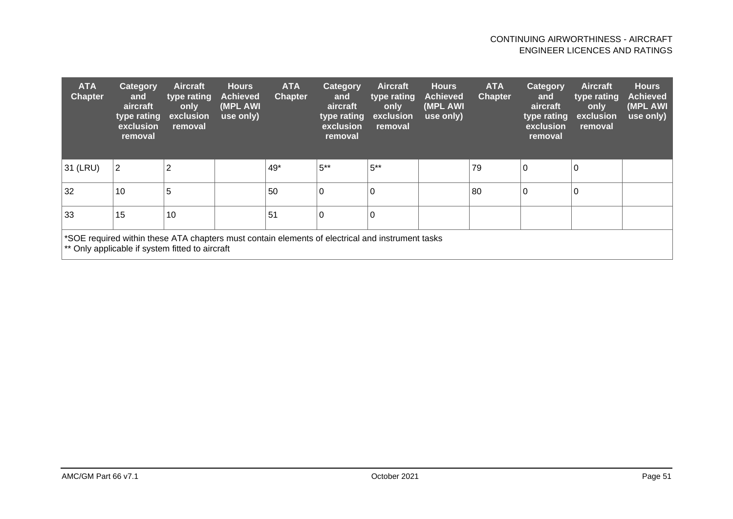| <b>ATA</b><br><b>Chapter</b>                                                                                                                        | Category<br>and<br>aircraft<br>type rating<br>exclusion<br>removal | <b>Aircraft</b><br>type rating<br>only<br>exclusion<br>removal | <b>Hours</b><br><b>Achieved</b><br>(MPL AWI)<br>use only) | <b>ATA</b><br><b>Chapter</b> | Category<br>and<br>aircraft<br>type rating<br>exclusion<br>removal | <b>Aircraft</b><br>type rating<br>only<br>exclusion<br>removal | <b>Hours</b><br><b>Achieved</b><br>(MPL AWI<br>use only) | <b>ATA</b><br><b>Chapter</b> | Category<br>and<br>aircraft<br>type rating<br>exclusion<br>removal | <b>Aircraft</b><br>type rating<br>only<br>exclusion<br>removal | <b>Hours</b><br><b>Achieved</b><br>(MPL AWI<br>use only) |
|-----------------------------------------------------------------------------------------------------------------------------------------------------|--------------------------------------------------------------------|----------------------------------------------------------------|-----------------------------------------------------------|------------------------------|--------------------------------------------------------------------|----------------------------------------------------------------|----------------------------------------------------------|------------------------------|--------------------------------------------------------------------|----------------------------------------------------------------|----------------------------------------------------------|
| 31 (LRU)                                                                                                                                            | 2                                                                  | $\overline{2}$                                                 |                                                           | 49*                          | $5***$                                                             | $5***$                                                         |                                                          | 79                           | 0                                                                  |                                                                |                                                          |
| 32                                                                                                                                                  | 10                                                                 | 5                                                              |                                                           | 50                           | 0                                                                  | 0                                                              |                                                          | 80                           | 0                                                                  |                                                                |                                                          |
| 33                                                                                                                                                  | 15                                                                 | 10                                                             |                                                           | 51                           | $\mathbf 0$                                                        | 0                                                              |                                                          |                              |                                                                    |                                                                |                                                          |
| *SOE required within these ATA chapters must contain elements of electrical and instrument tasks<br>** Only applicable if system fitted to aircraft |                                                                    |                                                                |                                                           |                              |                                                                    |                                                                |                                                          |                              |                                                                    |                                                                |                                                          |